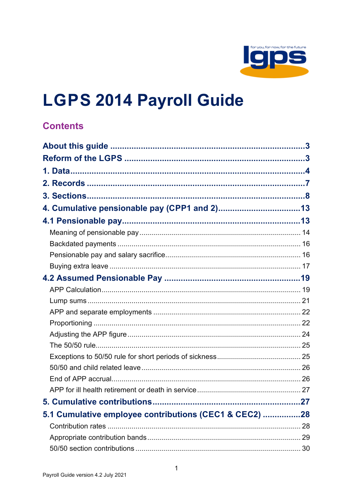

# **LGPS 2014 Payroll Guide**

# **Contents**

| 4. Cumulative pensionable pay (CPP1 and 2)13           |  |
|--------------------------------------------------------|--|
|                                                        |  |
|                                                        |  |
|                                                        |  |
|                                                        |  |
|                                                        |  |
|                                                        |  |
|                                                        |  |
|                                                        |  |
|                                                        |  |
|                                                        |  |
|                                                        |  |
|                                                        |  |
|                                                        |  |
|                                                        |  |
|                                                        |  |
|                                                        |  |
|                                                        |  |
| 5.1 Cumulative employee contributions (CEC1 & CEC2) 28 |  |
|                                                        |  |
|                                                        |  |
|                                                        |  |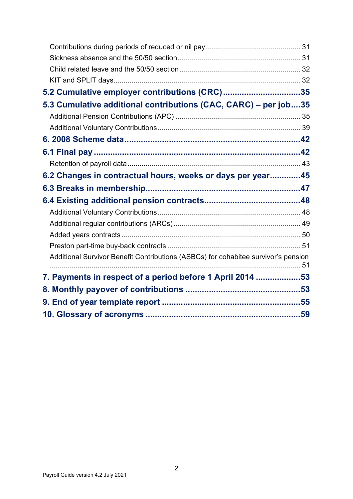| 5.2 Cumulative employer contributions (CRC)35<br>5.3 Cumulative additional contributions (CAC, CARC) - per job35<br>6.2 Changes in contractual hours, weeks or days per year45<br>Additional Survivor Benefit Contributions (ASBCs) for cohabitee survivor's pension |                                                           |  |
|----------------------------------------------------------------------------------------------------------------------------------------------------------------------------------------------------------------------------------------------------------------------|-----------------------------------------------------------|--|
|                                                                                                                                                                                                                                                                      |                                                           |  |
|                                                                                                                                                                                                                                                                      |                                                           |  |
|                                                                                                                                                                                                                                                                      |                                                           |  |
|                                                                                                                                                                                                                                                                      |                                                           |  |
|                                                                                                                                                                                                                                                                      |                                                           |  |
|                                                                                                                                                                                                                                                                      |                                                           |  |
|                                                                                                                                                                                                                                                                      |                                                           |  |
|                                                                                                                                                                                                                                                                      |                                                           |  |
|                                                                                                                                                                                                                                                                      |                                                           |  |
|                                                                                                                                                                                                                                                                      |                                                           |  |
|                                                                                                                                                                                                                                                                      |                                                           |  |
|                                                                                                                                                                                                                                                                      |                                                           |  |
|                                                                                                                                                                                                                                                                      |                                                           |  |
|                                                                                                                                                                                                                                                                      |                                                           |  |
|                                                                                                                                                                                                                                                                      |                                                           |  |
|                                                                                                                                                                                                                                                                      |                                                           |  |
|                                                                                                                                                                                                                                                                      |                                                           |  |
|                                                                                                                                                                                                                                                                      |                                                           |  |
|                                                                                                                                                                                                                                                                      | 7. Payments in respect of a period before 1 April 2014 53 |  |
|                                                                                                                                                                                                                                                                      |                                                           |  |
|                                                                                                                                                                                                                                                                      |                                                           |  |
|                                                                                                                                                                                                                                                                      |                                                           |  |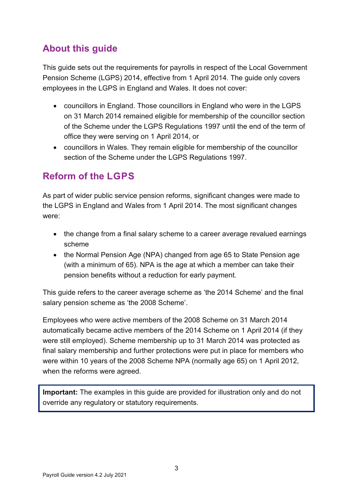# <span id="page-2-0"></span>**About this guide**

This guide sets out the requirements for payrolls in respect of the Local Government Pension Scheme (LGPS) 2014, effective from 1 April 2014. The guide only covers employees in the LGPS in England and Wales. It does not cover:

- councillors in England. Those councillors in England who were in the LGPS on 31 March 2014 remained eligible for membership of the councillor section of the Scheme under the LGPS Regulations 1997 until the end of the term of office they were serving on 1 April 2014, or
- councillors in Wales. They remain eligible for membership of the councillor section of the Scheme under the LGPS Regulations 1997.

# <span id="page-2-1"></span>**Reform of the LGPS**

As part of wider public service pension reforms, significant changes were made to the LGPS in England and Wales from 1 April 2014. The most significant changes were:

- the change from a final salary scheme to a career average revalued earnings scheme
- the Normal Pension Age (NPA) changed from age 65 to State Pension age (with a minimum of 65). NPA is the age at which a member can take their pension benefits without a reduction for early payment.

This guide refers to the career average scheme as 'the 2014 Scheme' and the final salary pension scheme as 'the 2008 Scheme'.

Employees who were active members of the 2008 Scheme on 31 March 2014 automatically became active members of the 2014 Scheme on 1 April 2014 (if they were still employed). Scheme membership up to 31 March 2014 was protected as final salary membership and further protections were put in place for members who were within 10 years of the 2008 Scheme NPA (normally age 65) on 1 April 2012, when the reforms were agreed.

**Important:** The examples in this guide are provided for illustration only and do not override any regulatory or statutory requirements.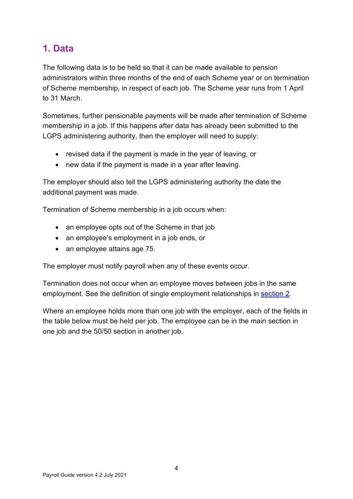# <span id="page-3-0"></span>**1. Data**

The following data is to be held so that it can be made available to pension administrators within three months of the end of each Scheme year or on termination of Scheme membership, in respect of each job. The Scheme year runs from 1 April to 31 March.

Sometimes, further pensionable payments will be made after termination of Scheme membership in a job. If this happens after data has already been submitted to the LGPS administering authority, then the employer will need to supply:

- revised data if the payment is made in the year of leaving, or
- new data if the payment is made in a year after leaving.

The employer should also tell the LGPS administering authority the date the additional payment was made.

Termination of Scheme membership in a job occurs when:

- an employee opts out of the Scheme in that job
- an employee's employment in a job ends, or
- an employee attains age 75.

The employer must notify payroll when any of these events occur.

Termination does not occur when an employee moves between jobs in the same employment. See the definition of single employment relationships in [section](#page-6-0) 2.

Where an employee holds more than one job with the employer, each of the fields in the table below must be held per job. The employee can be in the main section in one job and the 50/50 section in another job.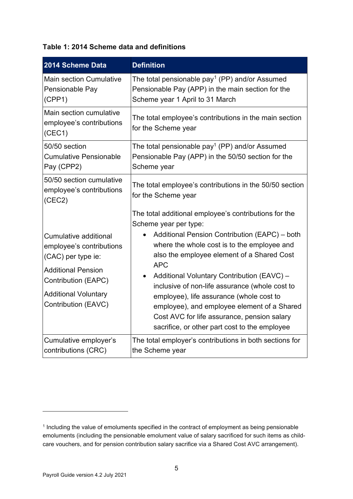#### **Table 1: 2014 Scheme data and definitions**

| 2014 Scheme Data                                                                                                                                                                  | <b>Definition</b>                                                                                                                                                                                                                                                                                                                                                                                                                                                                                                                                  |  |
|-----------------------------------------------------------------------------------------------------------------------------------------------------------------------------------|----------------------------------------------------------------------------------------------------------------------------------------------------------------------------------------------------------------------------------------------------------------------------------------------------------------------------------------------------------------------------------------------------------------------------------------------------------------------------------------------------------------------------------------------------|--|
| <b>Main section Cumulative</b><br>Pensionable Pay<br>(CPP1)                                                                                                                       | The total pensionable pay <sup>1</sup> (PP) and/or Assumed<br>Pensionable Pay (APP) in the main section for the<br>Scheme year 1 April to 31 March                                                                                                                                                                                                                                                                                                                                                                                                 |  |
| Main section cumulative<br>employee's contributions<br>(CEC1)                                                                                                                     | The total employee's contributions in the main section<br>for the Scheme year                                                                                                                                                                                                                                                                                                                                                                                                                                                                      |  |
| 50/50 section<br><b>Cumulative Pensionable</b><br>Pay (CPP2)                                                                                                                      | The total pensionable pay <sup>1</sup> (PP) and/or Assumed<br>Pensionable Pay (APP) in the 50/50 section for the<br>Scheme year                                                                                                                                                                                                                                                                                                                                                                                                                    |  |
| 50/50 section cumulative<br>employee's contributions<br>(CEC2)                                                                                                                    | The total employee's contributions in the 50/50 section<br>for the Scheme year                                                                                                                                                                                                                                                                                                                                                                                                                                                                     |  |
| Cumulative additional<br>employee's contributions<br>(CAC) per type ie:<br><b>Additional Pension</b><br>Contribution (EAPC)<br><b>Additional Voluntary</b><br>Contribution (EAVC) | The total additional employee's contributions for the<br>Scheme year per type:<br>Additional Pension Contribution (EAPC) - both<br>where the whole cost is to the employee and<br>also the employee element of a Shared Cost<br><b>APC</b><br>Additional Voluntary Contribution (EAVC) -<br>$\bullet$<br>inclusive of non-life assurance (whole cost to<br>employee), life assurance (whole cost to<br>employee), and employee element of a Shared<br>Cost AVC for life assurance, pension salary<br>sacrifice, or other part cost to the employee |  |
| Cumulative employer's<br>contributions (CRC)                                                                                                                                      | The total employer's contributions in both sections for<br>the Scheme year                                                                                                                                                                                                                                                                                                                                                                                                                                                                         |  |

<span id="page-4-0"></span><sup>&</sup>lt;sup>1</sup> Including the value of emoluments specified in the contract of employment as being pensionable emoluments (including the pensionable emolument value of salary sacrificed for such items as childcare vouchers, and for pension contribution salary sacrifice via a Shared Cost AVC arrangement).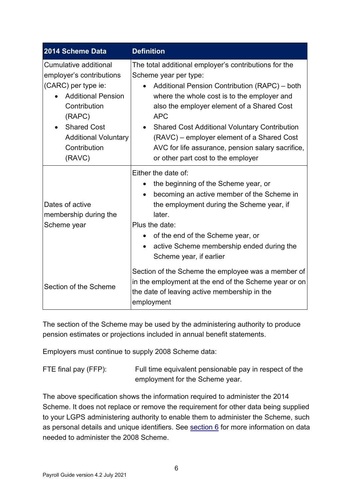| 2014 Scheme Data                                                                                                                                                                                                            | <b>Definition</b>                                                                                                                                                                                                                                                                                                                                                                                                                           |  |
|-----------------------------------------------------------------------------------------------------------------------------------------------------------------------------------------------------------------------------|---------------------------------------------------------------------------------------------------------------------------------------------------------------------------------------------------------------------------------------------------------------------------------------------------------------------------------------------------------------------------------------------------------------------------------------------|--|
| Cumulative additional<br>employer's contributions<br>(CARC) per type ie:<br><b>Additional Pension</b><br>Contribution<br>(RAPC)<br><b>Shared Cost</b><br>$\bullet$<br><b>Additional Voluntary</b><br>Contribution<br>(RAVC) | The total additional employer's contributions for the<br>Scheme year per type:<br>Additional Pension Contribution (RAPC) - both<br>where the whole cost is to the employer and<br>also the employer element of a Shared Cost<br><b>APC</b><br><b>Shared Cost Additional Voluntary Contribution</b><br>(RAVC) – employer element of a Shared Cost<br>AVC for life assurance, pension salary sacrifice,<br>or other part cost to the employer |  |
| Dates of active<br>membership during the<br>Scheme year                                                                                                                                                                     | Either the date of:<br>the beginning of the Scheme year, or<br>becoming an active member of the Scheme in<br>the employment during the Scheme year, if<br>later.<br>Plus the date:<br>of the end of the Scheme year, or<br>$\bullet$<br>active Scheme membership ended during the<br>$\bullet$<br>Scheme year, if earlier                                                                                                                   |  |
| Section of the Scheme                                                                                                                                                                                                       | Section of the Scheme the employee was a member of<br>in the employment at the end of the Scheme year or on<br>the date of leaving active membership in the<br>employment                                                                                                                                                                                                                                                                   |  |

The section of the Scheme may be used by the administering authority to produce pension estimates or projections included in annual benefit statements.

Employers must continue to supply 2008 Scheme data:

FTE final pay (FFP): Full time equivalent pensionable pay in respect of the employment for the Scheme year.

The above specification shows the information required to administer the 2014 Scheme. It does not replace or remove the requirement for other data being supplied to your LGPS administering authority to enable them to administer the Scheme, such as personal details and unique identifiers. See [section 6](#page-41-0) for more information on data needed to administer the 2008 Scheme.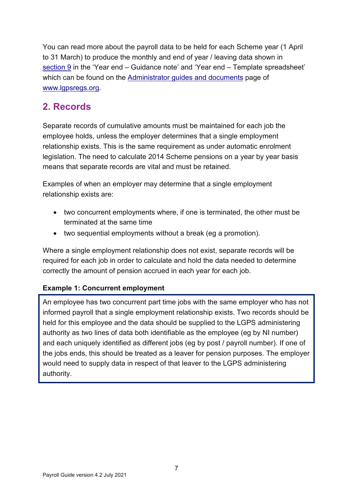You can read more about the payroll data to be held for each Scheme year (1 April to 31 March) to produce the monthly and end of year / leaving data shown in [section](#page-54-0) 9 in the 'Year end – Guidance note' and 'Year end – Template spreadsheet' which can be found on the [Administrator guides and documents](https://www.lgpsregs.org/resources/guidesetc.php) page of [www.lgpsregs.org.](http://www.lgpsregs.org/)

# <span id="page-6-0"></span>**2. Records**

Separate records of cumulative amounts must be maintained for each job the employee holds, unless the employer determines that a single employment relationship exists. This is the same requirement as under automatic enrolment legislation. The need to calculate 2014 Scheme pensions on a year by year basis means that separate records are vital and must be retained.

Examples of when an employer may determine that a single employment relationship exists are:

- two concurrent employments where, if one is terminated, the other must be terminated at the same time
- two sequential employments without a break (eg a promotion).

Where a single employment relationship does not exist, separate records will be required for each job in order to calculate and hold the data needed to determine correctly the amount of pension accrued in each year for each job.

### **Example 1: Concurrent employment**

An employee has two concurrent part time jobs with the same employer who has not informed payroll that a single employment relationship exists. Two records should be held for this employee and the data should be supplied to the LGPS administering authority as two lines of data both identifiable as the employee (eg by NI number) and each uniquely identified as different jobs (eg by post / payroll number). If one of the jobs ends, this should be treated as a leaver for pension purposes. The employer would need to supply data in respect of that leaver to the LGPS administering authority.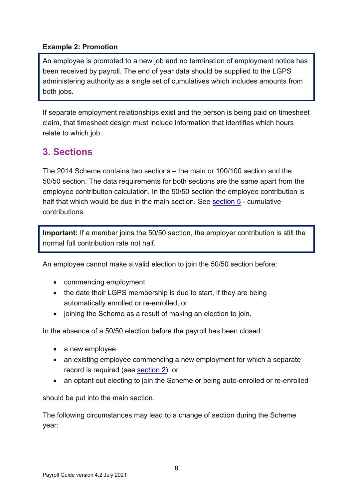#### **Example 2: Promotion**

An employee is promoted to a new job and no termination of employment notice has been received by payroll. The end of year data should be supplied to the LGPS administering authority as a single set of cumulatives which includes amounts from both jobs.

If separate employment relationships exist and the person is being paid on timesheet claim, that timesheet design must include information that identifies which hours relate to which job.

# <span id="page-7-0"></span>**3. Sections**

The 2014 Scheme contains two sections – the main or 100/100 section and the 50/50 section. The data requirements for both sections are the same apart from the employee contribution calculation. In the 50/50 section the employee contribution is half that which would be due in the main section. See [section 5](#page-26-1) - cumulative contributions.

**Important:** If a member joins the 50/50 section, the employer contribution is still the normal full contribution rate not half.

An employee cannot make a valid election to join the 50/50 section before:

- commencing employment
- the date their LGPS membership is due to start, if they are being automatically enrolled or re-enrolled, or
- joining the Scheme as a result of making an election to join.

In the absence of a 50/50 election before the payroll has been closed:

- a new employee
- an existing employee commencing a new employment for which a separate record is required (see [section 2\)](#page-6-0), or
- an optant out electing to join the Scheme or being auto-enrolled or re-enrolled

should be put into the main section.

The following circumstances may lead to a change of section during the Scheme year: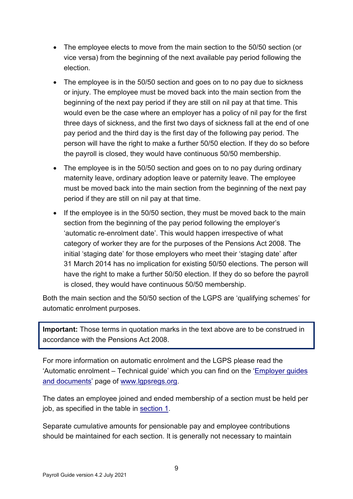- The employee elects to move from the main section to the 50/50 section (or vice versa) from the beginning of the next available pay period following the election.
- The employee is in the 50/50 section and goes on to no pay due to sickness or injury. The employee must be moved back into the main section from the beginning of the next pay period if they are still on nil pay at that time. This would even be the case where an employer has a policy of nil pay for the first three days of sickness, and the first two days of sickness fall at the end of one pay period and the third day is the first day of the following pay period. The person will have the right to make a further 50/50 election. If they do so before the payroll is closed, they would have continuous 50/50 membership.
- The employee is in the 50/50 section and goes on to no pay during ordinary maternity leave, ordinary adoption leave or paternity leave. The employee must be moved back into the main section from the beginning of the next pay period if they are still on nil pay at that time.
- If the employee is in the 50/50 section, they must be moved back to the main section from the beginning of the pay period following the employer's 'automatic re-enrolment date'. This would happen irrespective of what category of worker they are for the purposes of the Pensions Act 2008. The initial 'staging date' for those employers who meet their 'staging date' after 31 March 2014 has no implication for existing 50/50 elections. The person will have the right to make a further 50/50 election. If they do so before the payroll is closed, they would have continuous 50/50 membership.

Both the main section and the 50/50 section of the LGPS are 'qualifying schemes' for automatic enrolment purposes.

**Important:** Those terms in quotation marks in the text above are to be construed in accordance with the Pensions Act 2008.

For more information on automatic enrolment and the LGPS please read the 'Automatic enrolment – Technical guide' which you can find on the ['Employer guides](https://www.lgpsregs.org/employer-resources/guidesetc.php)  [and documents'](https://www.lgpsregs.org/employer-resources/guidesetc.php) page of [www.lgpsregs.org.](http://www.lgpsregs.org/)

The dates an employee joined and ended membership of a section must be held per job, as specified in the table in [section 1.](#page-3-0)

Separate cumulative amounts for pensionable pay and employee contributions should be maintained for each section. It is generally not necessary to maintain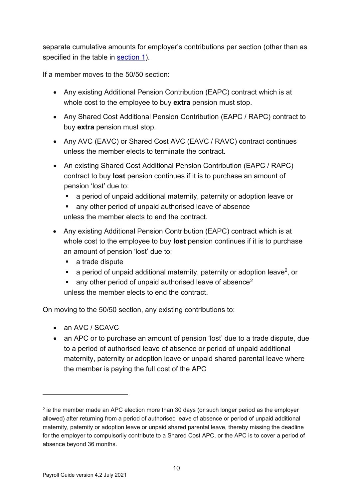separate cumulative amounts for employer's contributions per section (other than as specified in the table in [section](#page-3-0) 1).

If a member moves to the 50/50 section:

- Any existing Additional Pension Contribution (EAPC) contract which is at whole cost to the employee to buy **extra** pension must stop.
- Any Shared Cost Additional Pension Contribution (EAPC / RAPC) contract to buy **extra** pension must stop.
- Any AVC (EAVC) or Shared Cost AVC (EAVC / RAVC) contract continues unless the member elects to terminate the contract.
- An existing Shared Cost Additional Pension Contribution (EAPC / RAPC) contract to buy **lost** pension continues if it is to purchase an amount of pension 'lost' due to:
	- a period of unpaid additional maternity, paternity or adoption leave or
	- any other period of unpaid authorised leave of absence unless the member elects to end the contract.
- Any existing Additional Pension Contribution (EAPC) contract which is at whole cost to the employee to buy **lost** pension continues if it is to purchase an amount of pension 'lost' due to:
	- a trade dispute
	- a period of unpaid additional maternity, paternity or adoption leave<sup>2</sup>, or
	- any other period of unpaid authorised leave of absence<sup>[2](#page-9-0)</sup> unless the member elects to end the contract.

On moving to the 50/50 section, any existing contributions to:

- an AVC / SCAVC
- an APC or to purchase an amount of pension 'lost' due to a trade dispute, due to a period of authorised leave of absence or period of unpaid additional maternity, paternity or adoption leave or unpaid shared parental leave where the member is paying the full cost of the APC

<span id="page-9-0"></span><sup>&</sup>lt;sup>2</sup> ie the member made an APC election more than 30 days (or such longer period as the employer allowed) after returning from a period of authorised leave of absence or period of unpaid additional maternity, paternity or adoption leave or unpaid shared parental leave, thereby missing the deadline for the employer to compulsorily contribute to a Shared Cost APC, or the APC is to cover a period of absence beyond 36 months.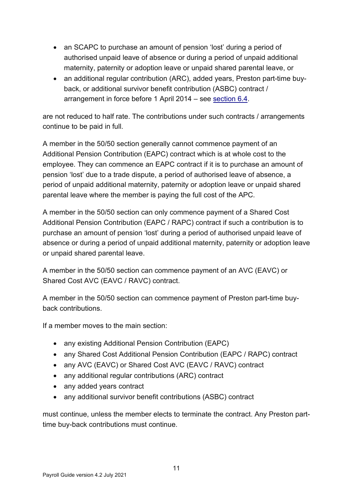- an SCAPC to purchase an amount of pension 'lost' during a period of authorised unpaid leave of absence or during a period of unpaid additional maternity, paternity or adoption leave or unpaid shared parental leave, or
- an additional regular contribution (ARC), added years, Preston part-time buyback, or additional survivor benefit contribution (ASBC) contract / arrangement in force before 1 April 2014 – see [section 6.4.](#page-47-0)

are not reduced to half rate. The contributions under such contracts / arrangements continue to be paid in full.

A member in the 50/50 section generally cannot commence payment of an Additional Pension Contribution (EAPC) contract which is at whole cost to the employee. They can commence an EAPC contract if it is to purchase an amount of pension 'lost' due to a trade dispute, a period of authorised leave of absence, a period of unpaid additional maternity, paternity or adoption leave or unpaid shared parental leave where the member is paying the full cost of the APC.

A member in the 50/50 section can only commence payment of a Shared Cost Additional Pension Contribution (EAPC / RAPC) contract if such a contribution is to purchase an amount of pension 'lost' during a period of authorised unpaid leave of absence or during a period of unpaid additional maternity, paternity or adoption leave or unpaid shared parental leave.

A member in the 50/50 section can commence payment of an AVC (EAVC) or Shared Cost AVC (EAVC / RAVC) contract.

A member in the 50/50 section can commence payment of Preston part-time buyback contributions.

If a member moves to the main section:

- any existing Additional Pension Contribution (EAPC)
- any Shared Cost Additional Pension Contribution (EAPC / RAPC) contract
- any AVC (EAVC) or Shared Cost AVC (EAVC / RAVC) contract
- any additional regular contributions (ARC) contract
- any added years contract
- any additional survivor benefit contributions (ASBC) contract

must continue, unless the member elects to terminate the contract. Any Preston parttime buy-back contributions must continue.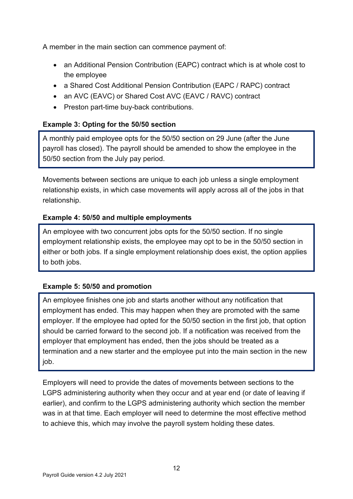A member in the main section can commence payment of:

- an Additional Pension Contribution (EAPC) contract which is at whole cost to the employee
- a Shared Cost Additional Pension Contribution (EAPC / RAPC) contract
- an AVC (EAVC) or Shared Cost AVC (EAVC / RAVC) contract
- Preston part-time buy-back contributions.

# **Example 3: Opting for the 50/50 section**

A monthly paid employee opts for the 50/50 section on 29 June (after the June payroll has closed). The payroll should be amended to show the employee in the 50/50 section from the July pay period.

Movements between sections are unique to each job unless a single employment relationship exists, in which case movements will apply across all of the jobs in that relationship.

### **Example 4: 50/50 and multiple employments**

An employee with two concurrent jobs opts for the 50/50 section. If no single employment relationship exists, the employee may opt to be in the 50/50 section in either or both jobs. If a single employment relationship does exist, the option applies to both jobs.

### **Example 5: 50/50 and promotion**

An employee finishes one job and starts another without any notification that employment has ended. This may happen when they are promoted with the same employer. If the employee had opted for the 50/50 section in the first job, that option should be carried forward to the second job. If a notification was received from the employer that employment has ended, then the jobs should be treated as a termination and a new starter and the employee put into the main section in the new job.

Employers will need to provide the dates of movements between sections to the LGPS administering authority when they occur and at year end (or date of leaving if earlier), and confirm to the LGPS administering authority which section the member was in at that time. Each employer will need to determine the most effective method to achieve this, which may involve the payroll system holding these dates.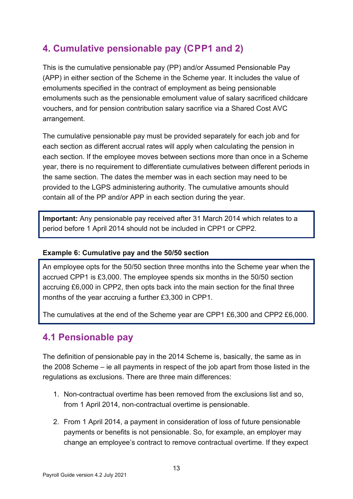# <span id="page-12-0"></span>**4. Cumulative pensionable pay (CPP1 and 2)**

This is the cumulative pensionable pay (PP) and/or Assumed Pensionable Pay (APP) in either section of the Scheme in the Scheme year. It includes the value of emoluments specified in the contract of employment as being pensionable emoluments such as the pensionable emolument value of salary sacrificed childcare vouchers, and for pension contribution salary sacrifice via a Shared Cost AVC arrangement.

The cumulative pensionable pay must be provided separately for each job and for each section as different accrual rates will apply when calculating the pension in each section. If the employee moves between sections more than once in a Scheme year, there is no requirement to differentiate cumulatives between different periods in the same section. The dates the member was in each section may need to be provided to the LGPS administering authority. The cumulative amounts should contain all of the PP and/or APP in each section during the year.

**Important:** Any pensionable pay received after 31 March 2014 which relates to a period before 1 April 2014 should not be included in CPP1 or CPP2.

#### **Example 6: Cumulative pay and the 50/50 section**

An employee opts for the 50/50 section three months into the Scheme year when the accrued CPP1 is £3,000. The employee spends six months in the 50/50 section accruing £6,000 in CPP2, then opts back into the main section for the final three months of the year accruing a further £3,300 in CPP1.

The cumulatives at the end of the Scheme year are CPP1 £6,300 and CPP2 £6,000.

# <span id="page-12-1"></span>**4.1 Pensionable pay**

The definition of pensionable pay in the 2014 Scheme is, basically, the same as in the 2008 Scheme – ie all payments in respect of the job apart from those listed in the regulations as exclusions. There are three main differences:

- 1. Non-contractual overtime has been removed from the exclusions list and so, from 1 April 2014, non-contractual overtime is pensionable.
- 2. From 1 April 2014, a payment in consideration of loss of future pensionable payments or benefits is not pensionable. So, for example, an employer may change an employee's contract to remove contractual overtime. If they expect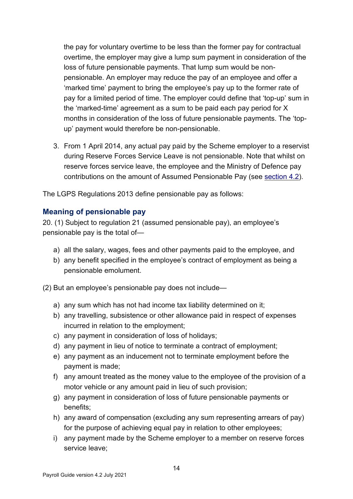the pay for voluntary overtime to be less than the former pay for contractual overtime, the employer may give a lump sum payment in consideration of the loss of future pensionable payments. That lump sum would be nonpensionable. An employer may reduce the pay of an employee and offer a 'marked time' payment to bring the employee's pay up to the former rate of pay for a limited period of time. The employer could define that 'top-up' sum in the 'marked-time' agreement as a sum to be paid each pay period for X months in consideration of the loss of future pensionable payments. The 'topup' payment would therefore be non-pensionable.

3. From 1 April 2014, any actual pay paid by the Scheme employer to a reservist during Reserve Forces Service Leave is not pensionable. Note that whilst on reserve forces service leave, the employee and the Ministry of Defence pay contributions on the amount of Assumed Pensionable Pay (see [section 4.2\)](#page-18-0).

The LGPS Regulations 2013 define pensionable pay as follows:

#### <span id="page-13-0"></span>**Meaning of pensionable pay**

20. (1) Subject to regulation 21 (assumed pensionable pay), an employee's pensionable pay is the total of—

- a) all the salary, wages, fees and other payments paid to the employee, and
- b) any benefit specified in the employee's contract of employment as being a pensionable emolument.

(2) But an employee's pensionable pay does not include—

- a) any sum which has not had income tax liability determined on it;
- b) any travelling, subsistence or other allowance paid in respect of expenses incurred in relation to the employment;
- c) any payment in consideration of loss of holidays;
- d) any payment in lieu of notice to terminate a contract of employment;
- e) any payment as an inducement not to terminate employment before the payment is made;
- f) any amount treated as the money value to the employee of the provision of a motor vehicle or any amount paid in lieu of such provision;
- g) any payment in consideration of loss of future pensionable payments or benefits;
- h) any award of compensation (excluding any sum representing arrears of pay) for the purpose of achieving equal pay in relation to other employees;
- i) any payment made by the Scheme employer to a member on reserve forces service leave;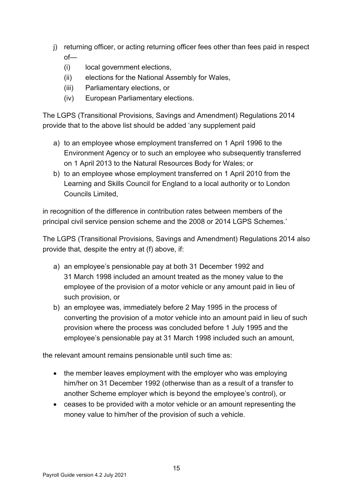- j) returning officer, or acting returning officer fees other than fees paid in respect of—
	- (i) local government elections,
	- (ii) elections for the National Assembly for Wales,
	- (iii) Parliamentary elections, or
	- (iv) European Parliamentary elections.

The LGPS (Transitional Provisions, Savings and Amendment) Regulations 2014 provide that to the above list should be added 'any supplement paid

- a) to an employee whose employment transferred on 1 April 1996 to the Environment Agency or to such an employee who subsequently transferred on 1 April 2013 to the Natural Resources Body for Wales; or
- b) to an employee whose employment transferred on 1 April 2010 from the Learning and Skills Council for England to a local authority or to London Councils Limited,

in recognition of the difference in contribution rates between members of the principal civil service pension scheme and the 2008 or 2014 LGPS Schemes.'

The LGPS (Transitional Provisions, Savings and Amendment) Regulations 2014 also provide that, despite the entry at (f) above, if:

- a) an employee's pensionable pay at both 31 December 1992 and 31 March 1998 included an amount treated as the money value to the employee of the provision of a motor vehicle or any amount paid in lieu of such provision, or
- b) an employee was, immediately before 2 May 1995 in the process of converting the provision of a motor vehicle into an amount paid in lieu of such provision where the process was concluded before 1 July 1995 and the employee's pensionable pay at 31 March 1998 included such an amount,

the relevant amount remains pensionable until such time as:

- the member leaves employment with the employer who was employing him/her on 31 December 1992 (otherwise than as a result of a transfer to another Scheme employer which is beyond the employee's control), or
- ceases to be provided with a motor vehicle or an amount representing the money value to him/her of the provision of such a vehicle.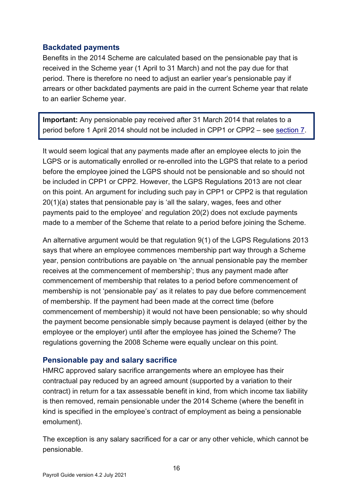### <span id="page-15-0"></span>**Backdated payments**

Benefits in the 2014 Scheme are calculated based on the pensionable pay that is received in the Scheme year (1 April to 31 March) and not the pay due for that period. There is therefore no need to adjust an earlier year's pensionable pay if arrears or other backdated payments are paid in the current Scheme year that relate to an earlier Scheme year.

**Important:** Any pensionable pay received after 31 March 2014 that relates to a period before 1 April 2014 should not be included in CPP1 or CPP2 – see [section 7.](#page-52-0)

It would seem logical that any payments made after an employee elects to join the LGPS or is automatically enrolled or re-enrolled into the LGPS that relate to a period before the employee joined the LGPS should not be pensionable and so should not be included in CPP1 or CPP2. However, the LGPS Regulations 2013 are not clear on this point. An argument for including such pay in CPP1 or CPP2 is that regulation 20(1)(a) states that pensionable pay is 'all the salary, wages, fees and other payments paid to the employee' and regulation 20(2) does not exclude payments made to a member of the Scheme that relate to a period before joining the Scheme.

An alternative argument would be that regulation 9(1) of the LGPS Regulations 2013 says that where an employee commences membership part way through a Scheme year, pension contributions are payable on 'the annual pensionable pay the member receives at the commencement of membership'; thus any payment made after commencement of membership that relates to a period before commencement of membership is not 'pensionable pay' as it relates to pay due before commencement of membership. If the payment had been made at the correct time (before commencement of membership) it would not have been pensionable; so why should the payment become pensionable simply because payment is delayed (either by the employee or the employer) until after the employee has joined the Scheme? The regulations governing the 2008 Scheme were equally unclear on this point.

#### <span id="page-15-1"></span>**Pensionable pay and salary sacrifice**

HMRC approved salary sacrifice arrangements where an employee has their contractual pay reduced by an agreed amount (supported by a variation to their contract) in return for a tax assessable benefit in kind, from which income tax liability is then removed, remain pensionable under the 2014 Scheme (where the benefit in kind is specified in the employee's contract of employment as being a pensionable emolument).

The exception is any salary sacrificed for a car or any other vehicle, which cannot be pensionable.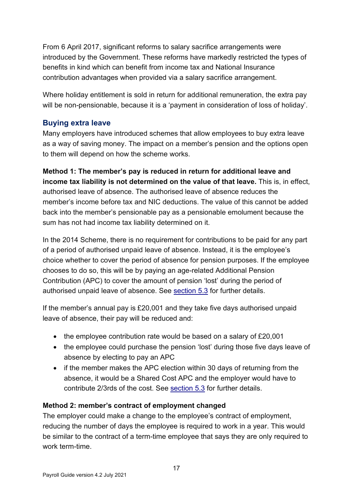From 6 April 2017, significant reforms to salary sacrifice arrangements were introduced by the Government. These reforms have markedly restricted the types of benefits in kind which can benefit from income tax and National Insurance contribution advantages when provided via a salary sacrifice arrangement.

Where holiday entitlement is sold in return for additional remuneration, the extra pay will be non-pensionable, because it is a 'payment in consideration of loss of holiday'.

#### <span id="page-16-0"></span>**Buying extra leave**

Many employers have introduced schemes that allow employees to buy extra leave as a way of saving money. The impact on a member's pension and the options open to them will depend on how the scheme works.

**Method 1: The member's pay is reduced in return for additional leave and income tax liability is not determined on the value of that leave.** This is, in effect, authorised leave of absence. The authorised leave of absence reduces the member's income before tax and NIC deductions. The value of this cannot be added back into the member's pensionable pay as a pensionable emolument because the sum has not had income tax liability determined on it.

In the 2014 Scheme, there is no requirement for contributions to be paid for any part of a period of authorised unpaid leave of absence. Instead, it is the employee's choice whether to cover the period of absence for pension purposes. If the employee chooses to do so, this will be by paying an age-related Additional Pension Contribution (APC) to cover the amount of pension 'lost' during the period of authorised unpaid leave of absence. See [section 5.3](#page-34-2) for further details.

If the member's annual pay is £20,001 and they take five days authorised unpaid leave of absence, their pay will be reduced and:

- the employee contribution rate would be based on a salary of £20,001
- the employee could purchase the pension 'lost' during those five days leave of absence by electing to pay an APC
- if the member makes the APC election within 30 days of returning from the absence, it would be a Shared Cost APC and the employer would have to contribute 2/3rds of the cost. See [section 5.3](#page-34-2) for further details.

#### **Method 2: member's contract of employment changed**

The employer could make a change to the employee's contract of employment, reducing the number of days the employee is required to work in a year. This would be similar to the contract of a term-time employee that says they are only required to work term-time.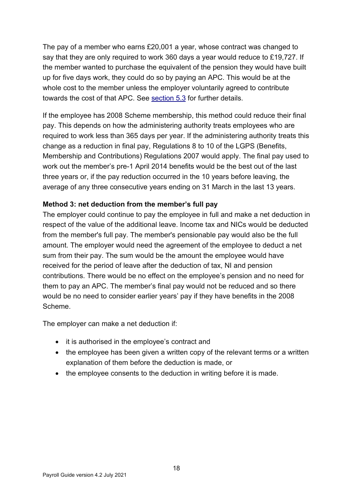The pay of a member who earns £20,001 a year, whose contract was changed to say that they are only required to work 360 days a year would reduce to £19,727. If the member wanted to purchase the equivalent of the pension they would have built up for five days work, they could do so by paying an APC. This would be at the whole cost to the member unless the employer voluntarily agreed to contribute towards the cost of that APC. See [section 5.3](#page-34-2) for further details.

If the employee has 2008 Scheme membership, this method could reduce their final pay. This depends on how the administering authority treats employees who are required to work less than 365 days per year. If the administering authority treats this change as a reduction in final pay, Regulations 8 to 10 of the LGPS (Benefits, Membership and Contributions) Regulations 2007 would apply. The final pay used to work out the member's pre-1 April 2014 benefits would be the best out of the last three years or, if the pay reduction occurred in the 10 years before leaving, the average of any three consecutive years ending on 31 March in the last 13 years.

#### **Method 3: net deduction from the member's full pay**

The employer could continue to pay the employee in full and make a net deduction in respect of the value of the additional leave. Income tax and NICs would be deducted from the member's full pay. The member's pensionable pay would also be the full amount. The employer would need the agreement of the employee to deduct a net sum from their pay. The sum would be the amount the employee would have received for the period of leave after the deduction of tax, NI and pension contributions. There would be no effect on the employee's pension and no need for them to pay an APC. The member's final pay would not be reduced and so there would be no need to consider earlier years' pay if they have benefits in the 2008 Scheme.

The employer can make a net deduction if:

- it is authorised in the employee's contract and
- the employee has been given a written copy of the relevant terms or a written explanation of them before the deduction is made, or
- the employee consents to the deduction in writing before it is made.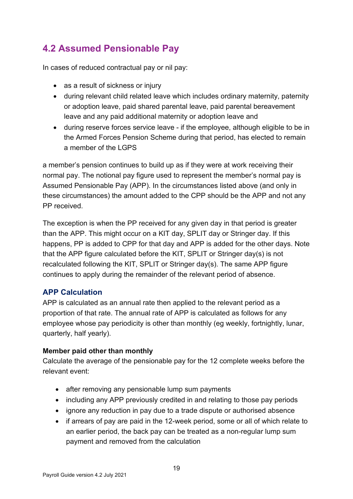# <span id="page-18-0"></span>**4.2 Assumed Pensionable Pay**

In cases of reduced contractual pay or nil pay:

- as a result of sickness or injury
- during relevant child related leave which includes ordinary maternity, paternity or adoption leave, paid shared parental leave, paid parental bereavement leave and any paid additional maternity or adoption leave and
- during reserve forces service leave if the employee, although eligible to be in the Armed Forces Pension Scheme during that period, has elected to remain a member of the LGPS

a member's pension continues to build up as if they were at work receiving their normal pay. The notional pay figure used to represent the member's normal pay is Assumed Pensionable Pay (APP). In the circumstances listed above (and only in these circumstances) the amount added to the CPP should be the APP and not any PP received.

The exception is when the PP received for any given day in that period is greater than the APP. This might occur on a KIT day, SPLIT day or Stringer day. If this happens, PP is added to CPP for that day and APP is added for the other days. Note that the APP figure calculated before the KIT, SPLIT or Stringer day(s) is not recalculated following the KIT, SPLIT or Stringer day(s). The same APP figure continues to apply during the remainder of the relevant period of absence.

# <span id="page-18-1"></span>**APP Calculation**

APP is calculated as an annual rate then applied to the relevant period as a proportion of that rate. The annual rate of APP is calculated as follows for any employee whose pay periodicity is other than monthly (eg weekly, fortnightly, lunar, quarterly, half yearly).

### **Member paid other than monthly**

Calculate the average of the pensionable pay for the 12 complete weeks before the relevant event:

- after removing any pensionable lump sum payments
- including any APP previously credited in and relating to those pay periods
- ignore any reduction in pay due to a trade dispute or authorised absence
- if arrears of pay are paid in the 12-week period, some or all of which relate to an earlier period, the back pay can be treated as a non-regular lump sum payment and removed from the calculation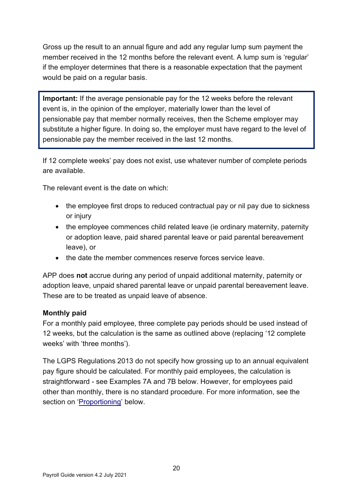Gross up the result to an annual figure and add any regular lump sum payment the member received in the 12 months before the relevant event. A lump sum is 'regular' if the employer determines that there is a reasonable expectation that the payment would be paid on a regular basis.

**Important:** If the average pensionable pay for the 12 weeks before the relevant event is, in the opinion of the employer, materially lower than the level of pensionable pay that member normally receives, then the Scheme employer may substitute a higher figure. In doing so, the employer must have regard to the level of pensionable pay the member received in the last 12 months.

If 12 complete weeks' pay does not exist, use whatever number of complete periods are available.

The relevant event is the date on which:

- the employee first drops to reduced contractual pay or nil pay due to sickness or injury
- the employee commences child related leave (ie ordinary maternity, paternity or adoption leave, paid shared parental leave or paid parental bereavement leave), or
- the date the member commences reserve forces service leave.

APP does **not** accrue during any period of unpaid additional maternity, paternity or adoption leave, unpaid shared parental leave or unpaid parental bereavement leave. These are to be treated as unpaid leave of absence.

#### **Monthly paid**

For a monthly paid employee, three complete pay periods should be used instead of 12 weeks, but the calculation is the same as outlined above (replacing '12 complete weeks' with 'three months').

The LGPS Regulations 2013 do not specify how grossing up to an annual equivalent pay figure should be calculated. For monthly paid employees, the calculation is straightforward - see Examples 7A and 7B below. However, for employees paid other than monthly, there is no standard procedure. For more information, see the section on ['Proportioning'](#page-21-1) below.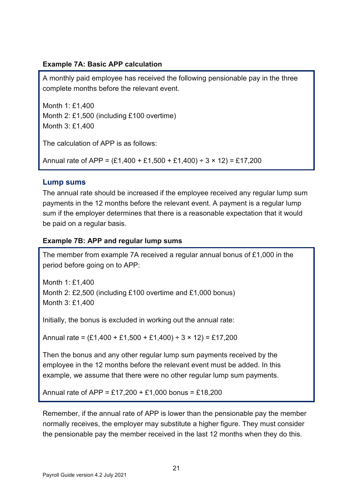#### **Example 7A: Basic APP calculation**

A monthly paid employee has received the following pensionable pay in the three complete months before the relevant event.

Month 1: £1,400 Month 2: £1,500 (including £100 overtime) Month 3: £1,400

The calculation of APP is as follows:

Annual rate of APP =  $(E1,400 + E1,500 + E1,400) \div 3 \times 12$  = £17,200

### <span id="page-20-0"></span>**Lump sums**

The annual rate should be increased if the employee received any regular lump sum payments in the 12 months before the relevant event. A payment is a regular lump sum if the employer determines that there is a reasonable expectation that it would be paid on a regular basis.

#### <span id="page-20-1"></span>**Example 7B: APP and regular lump sums**

The member from example 7A received a regular annual bonus of £1,000 in the period before going on to APP:

Month 1: £1,400 Month 2: £2,500 (including £100 overtime and £1,000 bonus) Month 3: £1,400

Initially, the bonus is excluded in working out the annual rate:

Annual rate =  $(E1,400 + E1,500 + E1,400) \div 3 \times 12$  = £17,200

Then the bonus and any other regular lump sum payments received by the employee in the 12 months before the relevant event must be added. In this example, we assume that there were no other regular lump sum payments.

Annual rate of  $APP = £17,200 + £1,000$  bonus = £18,200

Remember, if the annual rate of APP is lower than the pensionable pay the member normally receives, the employer may substitute a higher figure. They must consider the pensionable pay the member received in the last 12 months when they do this.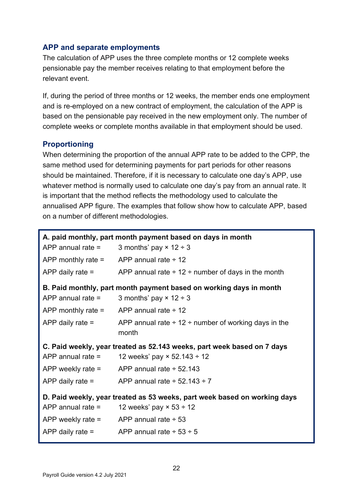#### <span id="page-21-0"></span>**APP and separate employments**

The calculation of APP uses the three complete months or 12 complete weeks pensionable pay the member receives relating to that employment before the relevant event.

If, during the period of three months or 12 weeks, the member ends one employment and is re-employed on a new contract of employment, the calculation of the APP is based on the pensionable pay received in the new employment only. The number of complete weeks or complete months available in that employment should be used.

### <span id="page-21-1"></span>**Proportioning**

When determining the proportion of the annual APP rate to be added to the CPP, the same method used for determining payments for part periods for other reasons should be maintained. Therefore, if it is necessary to calculate one day's APP, use whatever method is normally used to calculate one day's pay from an annual rate. It is important that the method reflects the methodology used to calculate the annualised APP figure. The examples that follow show how to calculate APP, based on a number of different methodologies.

```
A. paid monthly, part month payment based on days in month
APP annual rate = \qquad 3 months' pay \times 12 ÷ 3
APP monthly rate = APP annual rate \div 12
APP daily rate = APP annual rate \div 12 \div number of days in the month
B. Paid monthly, part month payment based on working days in month
APP annual rate = \qquad 3 months' pay \times 12 ÷ 3
APP monthly rate = APP annual rate \div 12
APP daily rate = APP annual rate \div 12 \div number of working days in the
                       month
C. Paid weekly, year treated as 52.143 weeks, part week based on 7 days
APP annual rate = 12 weeks' pay \times 52.143 ÷ 12
APP weekly rate = \angle APP annual rate \div 52.143
APP daily rate = \angle APP annual rate \div 52.143 \div 7
D. Paid weekly, year treated as 53 weeks, part week based on working days
APP annual rate = 12 weeks' pay \times 53 ÷ 12
APP weekly rate = APP annual rate \div 53
APP daily rate = APP annual rate \div 53 \div 5
```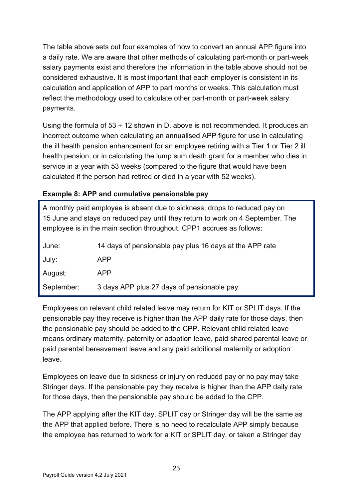The table above sets out four examples of how to convert an annual APP figure into a daily rate. We are aware that other methods of calculating part-month or part-week salary payments exist and therefore the information in the table above should not be considered exhaustive. It is most important that each employer is consistent in its calculation and application of APP to part months or weeks. This calculation must reflect the methodology used to calculate other part-month or part-week salary payments.

Using the formula of  $53 \div 12$  shown in D. above is not recommended. It produces an incorrect outcome when calculating an annualised APP figure for use in calculating the ill health pension enhancement for an employee retiring with a Tier 1 or Tier 2 ill health pension, or in calculating the lump sum death grant for a member who dies in service in a year with 53 weeks (compared to the figure that would have been calculated if the person had retired or died in a year with 52 weeks).

#### **Example 8: APP and cumulative pensionable pay**

| A monthly paid employee is absent due to sickness, drops to reduced pay on<br>15 June and stays on reduced pay until they return to work on 4 September. The<br>employee is in the main section throughout. CPP1 accrues as follows: |                                                         |  |  |
|--------------------------------------------------------------------------------------------------------------------------------------------------------------------------------------------------------------------------------------|---------------------------------------------------------|--|--|
| June:                                                                                                                                                                                                                                | 14 days of pensionable pay plus 16 days at the APP rate |  |  |
| July:                                                                                                                                                                                                                                | <b>APP</b>                                              |  |  |
| August:                                                                                                                                                                                                                              | <b>APP</b>                                              |  |  |
| September:                                                                                                                                                                                                                           | 3 days APP plus 27 days of pensionable pay              |  |  |

Employees on relevant child related leave may return for KIT or SPLIT days. If the pensionable pay they receive is higher than the APP daily rate for those days, then the pensionable pay should be added to the CPP. Relevant child related leave means ordinary maternity, paternity or adoption leave, paid shared parental leave or paid parental bereavement leave and any paid additional maternity or adoption leave.

Employees on leave due to sickness or injury on reduced pay or no pay may take Stringer days. If the pensionable pay they receive is higher than the APP daily rate for those days, then the pensionable pay should be added to the CPP.

The APP applying after the KIT day, SPLIT day or Stringer day will be the same as the APP that applied before. There is no need to recalculate APP simply because the employee has returned to work for a KIT or SPLIT day, or taken a Stringer day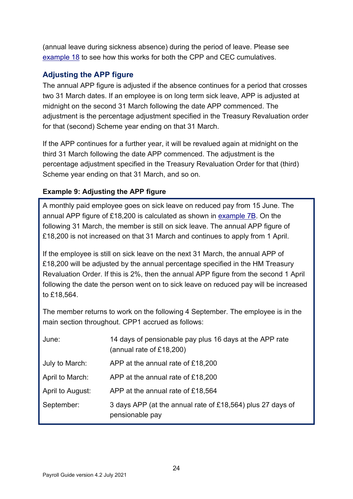(annual leave during sickness absence) during the period of leave. Please see [example 18](#page-32-0) to see how this works for both the CPP and CEC cumulatives.

# <span id="page-23-0"></span>**Adjusting the APP figure**

The annual APP figure is adjusted if the absence continues for a period that crosses two 31 March dates. If an employee is on long term sick leave, APP is adjusted at midnight on the second 31 March following the date APP commenced. The adjustment is the percentage adjustment specified in the Treasury Revaluation order for that (second) Scheme year ending on that 31 March.

If the APP continues for a further year, it will be revalued again at midnight on the third 31 March following the date APP commenced. The adjustment is the percentage adjustment specified in the Treasury Revaluation Order for that (third) Scheme year ending on that 31 March, and so on.

# **Example 9: Adjusting the APP figure**

A monthly paid employee goes on sick leave on reduced pay from 15 June. The annual APP figure of £18,200 is calculated as shown in [example 7B.](#page-20-1) On the following 31 March, the member is still on sick leave. The annual APP figure of £18,200 is not increased on that 31 March and continues to apply from 1 April.

If the employee is still on sick leave on the next 31 March, the annual APP of £18,200 will be adjusted by the annual percentage specified in the HM Treasury Revaluation Order. If this is 2%, then the annual APP figure from the second 1 April following the date the person went on to sick leave on reduced pay will be increased to £18,564.

The member returns to work on the following 4 September. The employee is in the main section throughout. CPP1 accrued as follows:

| June:            | 14 days of pensionable pay plus 16 days at the APP rate<br>(annual rate of £18,200) |
|------------------|-------------------------------------------------------------------------------------|
| July to March:   | APP at the annual rate of £18,200                                                   |
| April to March:  | APP at the annual rate of £18,200                                                   |
| April to August: | APP at the annual rate of £18,564                                                   |
| September:       | 3 days APP (at the annual rate of £18,564) plus 27 days of<br>pensionable pay       |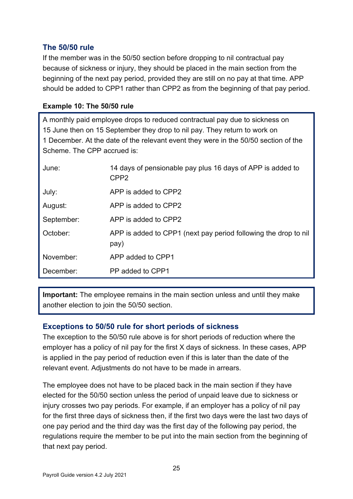# <span id="page-24-0"></span>**The 50/50 rule**

If the member was in the 50/50 section before dropping to nil contractual pay because of sickness or injury, they should be placed in the main section from the beginning of the next pay period, provided they are still on no pay at that time. APP should be added to CPP1 rather than CPP2 as from the beginning of that pay period.

#### **Example 10: The 50/50 rule**

A monthly paid employee drops to reduced contractual pay due to sickness on 15 June then on 15 September they drop to nil pay. They return to work on 1 December. At the date of the relevant event they were in the 50/50 section of the Scheme. The CPP accrued is:

| June:      | 14 days of pensionable pay plus 16 days of APP is added to<br>CPP <sub>2</sub> |
|------------|--------------------------------------------------------------------------------|
| July:      | APP is added to CPP2                                                           |
| August:    | APP is added to CPP2                                                           |
| September: | APP is added to CPP2                                                           |
| October:   | APP is added to CPP1 (next pay period following the drop to nil<br>pay)        |
| November:  | APP added to CPP1                                                              |
| December:  | PP added to CPP1                                                               |

**Important:** The employee remains in the main section unless and until they make another election to join the 50/50 section.

### <span id="page-24-1"></span>**Exceptions to 50/50 rule for short periods of sickness**

The exception to the 50/50 rule above is for short periods of reduction where the employer has a policy of nil pay for the first X days of sickness. In these cases, APP is applied in the pay period of reduction even if this is later than the date of the relevant event. Adjustments do not have to be made in arrears.

The employee does not have to be placed back in the main section if they have elected for the 50/50 section unless the period of unpaid leave due to sickness or injury crosses two pay periods. For example, if an employer has a policy of nil pay for the first three days of sickness then, if the first two days were the last two days of one pay period and the third day was the first day of the following pay period, the regulations require the member to be put into the main section from the beginning of that next pay period.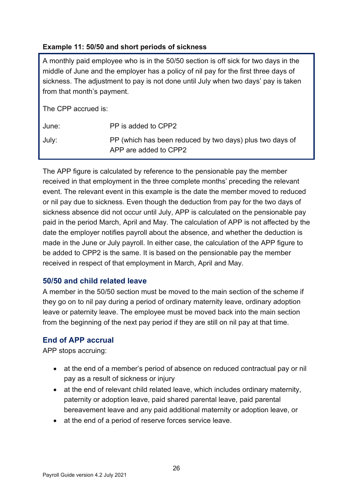#### **Example 11: 50/50 and short periods of sickness**

A monthly paid employee who is in the 50/50 section is off sick for two days in the middle of June and the employer has a policy of nil pay for the first three days of sickness. The adjustment to pay is not done until July when two days' pay is taken from that month's payment.

The CPP accrued is:

| June: | PP is added to CPP2                                                               |
|-------|-----------------------------------------------------------------------------------|
| July: | PP (which has been reduced by two days) plus two days of<br>APP are added to CPP2 |

The APP figure is calculated by reference to the pensionable pay the member received in that employment in the three complete months' preceding the relevant event. The relevant event in this example is the date the member moved to reduced or nil pay due to sickness. Even though the deduction from pay for the two days of sickness absence did not occur until July, APP is calculated on the pensionable pay paid in the period March, April and May. The calculation of APP is not affected by the date the employer notifies payroll about the absence, and whether the deduction is made in the June or July payroll. In either case, the calculation of the APP figure to be added to CPP2 is the same. It is based on the pensionable pay the member received in respect of that employment in March, April and May.

### <span id="page-25-0"></span>**50/50 and child related leave**

A member in the 50/50 section must be moved to the main section of the scheme if they go on to nil pay during a period of ordinary maternity leave, ordinary adoption leave or paternity leave. The employee must be moved back into the main section from the beginning of the next pay period if they are still on nil pay at that time.

### <span id="page-25-1"></span>**End of APP accrual**

APP stops accruing:

- at the end of a member's period of absence on reduced contractual pay or nil pay as a result of sickness or injury
- at the end of relevant child related leave, which includes ordinary maternity, paternity or adoption leave, paid shared parental leave, paid parental bereavement leave and any paid additional maternity or adoption leave, or
- at the end of a period of reserve forces service leave.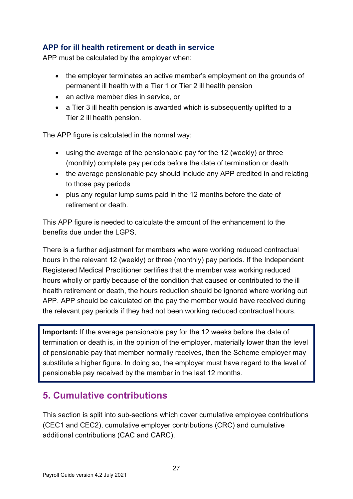# <span id="page-26-0"></span>**APP for ill health retirement or death in service**

APP must be calculated by the employer when:

- the employer terminates an active member's employment on the grounds of permanent ill health with a Tier 1 or Tier 2 ill health pension
- an active member dies in service, or
- a Tier 3 ill health pension is awarded which is subsequently uplifted to a Tier 2 ill health pension.

The APP figure is calculated in the normal way:

- using the average of the pensionable pay for the 12 (weekly) or three (monthly) complete pay periods before the date of termination or death
- the average pensionable pay should include any APP credited in and relating to those pay periods
- plus any regular lump sums paid in the 12 months before the date of retirement or death.

This APP figure is needed to calculate the amount of the enhancement to the benefits due under the LGPS.

There is a further adjustment for members who were working reduced contractual hours in the relevant 12 (weekly) or three (monthly) pay periods. If the Independent Registered Medical Practitioner certifies that the member was working reduced hours wholly or partly because of the condition that caused or contributed to the ill health retirement or death, the hours reduction should be ignored where working out APP. APP should be calculated on the pay the member would have received during the relevant pay periods if they had not been working reduced contractual hours.

**Important:** If the average pensionable pay for the 12 weeks before the date of termination or death is, in the opinion of the employer, materially lower than the level of pensionable pay that member normally receives, then the Scheme employer may substitute a higher figure. In doing so, the employer must have regard to the level of pensionable pay received by the member in the last 12 months.

# <span id="page-26-1"></span>**5. Cumulative contributions**

This section is split into sub-sections which cover cumulative employee contributions (CEC1 and CEC2), cumulative employer contributions (CRC) and cumulative additional contributions (CAC and CARC).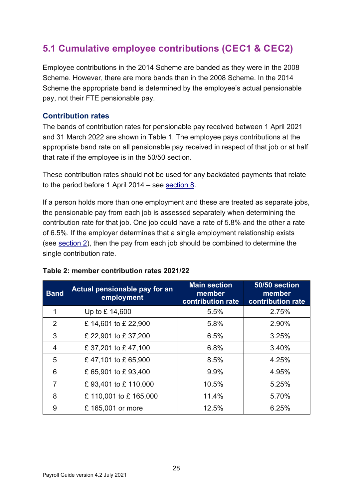# <span id="page-27-0"></span>**5.1 Cumulative employee contributions (CEC1 & CEC2)**

Employee contributions in the 2014 Scheme are banded as they were in the 2008 Scheme. However, there are more bands than in the 2008 Scheme. In the 2014 Scheme the appropriate band is determined by the employee's actual pensionable pay, not their FTE pensionable pay.

#### <span id="page-27-1"></span>**Contribution rates**

The bands of contribution rates for pensionable pay received between 1 April 2021 and 31 March 2022 are shown in Table 1. The employee pays contributions at the appropriate band rate on all pensionable pay received in respect of that job or at half that rate if the employee is in the 50/50 section.

These contribution rates should not be used for any backdated payments that relate to the period before 1 April 2014 – see [section 8.](#page-52-1)

If a person holds more than one employment and these are treated as separate jobs, the pensionable pay from each job is assessed separately when determining the contribution rate for that job. One job could have a rate of 5.8% and the other a rate of 6.5%. If the employer determines that a single employment relationship exists (see [section 2\)](#page-6-0), then the pay from each job should be combined to determine the single contribution rate.

| <b>Band</b>    | Actual pensionable pay for an<br>employment | <b>Main section</b><br>member<br>contribution rate | 50/50 section<br>member<br>contribution rate |
|----------------|---------------------------------------------|----------------------------------------------------|----------------------------------------------|
| 1              | Up to £14,600                               | 5.5%                                               | 2.75%                                        |
| $\overline{2}$ | £14,601 to £22,900                          | 5.8%                                               | 2.90%                                        |
| 3              | £ 22,901 to £ 37,200                        | 6.5%                                               | 3.25%                                        |
| $\overline{4}$ | £ 37,201 to £ 47,100                        | 6.8%                                               | 3.40%                                        |
| 5              | £47,101 to £65,900                          | 8.5%                                               | 4.25%                                        |
| 6              | £ 65,901 to £ 93,400                        | 9.9%                                               | 4.95%                                        |
| $\overline{7}$ | £93,401 to £110,000                         | 10.5%                                              | 5.25%                                        |
| 8              | £110,001 to £165,000                        | 11.4%                                              | 5.70%                                        |
| 9              | £ 165,001 or more                           | 12.5%                                              | 6.25%                                        |

#### **Table 2: member contribution rates 2021/22**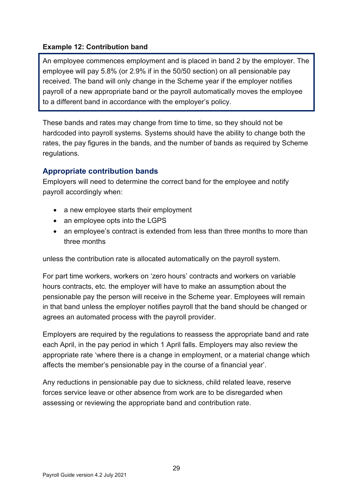### **Example 12: Contribution band**

An employee commences employment and is placed in band 2 by the employer. The employee will pay 5.8% (or 2.9% if in the 50/50 section) on all pensionable pay received. The band will only change in the Scheme year if the employer notifies payroll of a new appropriate band or the payroll automatically moves the employee to a different band in accordance with the employer's policy.

These bands and rates may change from time to time, so they should not be hardcoded into payroll systems. Systems should have the ability to change both the rates, the pay figures in the bands, and the number of bands as required by Scheme regulations.

### <span id="page-28-0"></span>**Appropriate contribution bands**

Employers will need to determine the correct band for the employee and notify payroll accordingly when:

- a new employee starts their employment
- an employee opts into the LGPS
- an employee's contract is extended from less than three months to more than three months

unless the contribution rate is allocated automatically on the payroll system.

For part time workers, workers on 'zero hours' contracts and workers on variable hours contracts, etc. the employer will have to make an assumption about the pensionable pay the person will receive in the Scheme year. Employees will remain in that band unless the employer notifies payroll that the band should be changed or agrees an automated process with the payroll provider.

Employers are required by the regulations to reassess the appropriate band and rate each April, in the pay period in which 1 April falls. Employers may also review the appropriate rate 'where there is a change in employment, or a material change which affects the member's pensionable pay in the course of a financial year'.

Any reductions in pensionable pay due to sickness, child related leave, reserve forces service leave or other absence from work are to be disregarded when assessing or reviewing the appropriate band and contribution rate.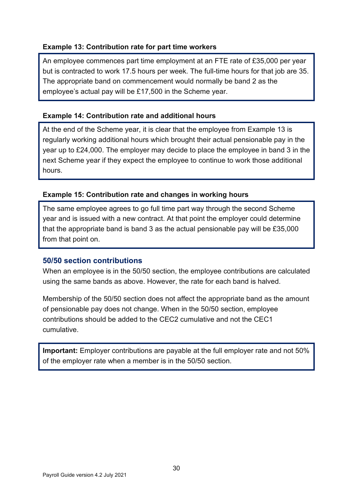#### **Example 13: Contribution rate for part time workers**

An employee commences part time employment at an FTE rate of £35,000 per year but is contracted to work 17.5 hours per week. The full-time hours for that job are 35. The appropriate band on commencement would normally be band 2 as the employee's actual pay will be £17,500 in the Scheme year.

#### **Example 14: Contribution rate and additional hours**

At the end of the Scheme year, it is clear that the employee from Example 13 is regularly working additional hours which brought their actual pensionable pay in the year up to £24,000. The employer may decide to place the employee in band 3 in the next Scheme year if they expect the employee to continue to work those additional hours.

#### **Example 15: Contribution rate and changes in working hours**

The same employee agrees to go full time part way through the second Scheme year and is issued with a new contract. At that point the employer could determine that the appropriate band is band 3 as the actual pensionable pay will be £35,000 from that point on.

#### <span id="page-29-0"></span>**50/50 section contributions**

When an employee is in the 50/50 section, the employee contributions are calculated using the same bands as above. However, the rate for each band is halved.

Membership of the 50/50 section does not affect the appropriate band as the amount of pensionable pay does not change. When in the 50/50 section, employee contributions should be added to the CEC2 cumulative and not the CEC1 cumulative.

**Important:** Employer contributions are payable at the full employer rate and not 50% of the employer rate when a member is in the 50/50 section.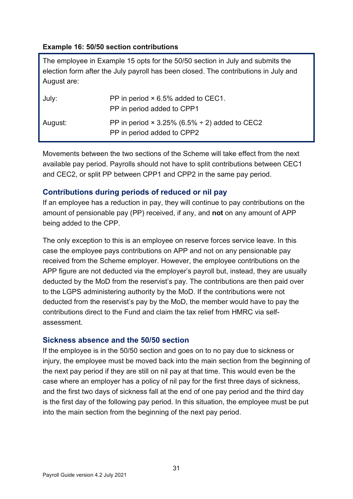#### **Example 16: 50/50 section contributions**

The employee in Example 15 opts for the 50/50 section in July and submits the election form after the July payroll has been closed. The contributions in July and August are:

| July:   | PP in period $\times$ 6.5% added to CEC1.<br>PP in period added to CPP1                 |
|---------|-----------------------------------------------------------------------------------------|
| August: | PP in period $\times$ 3.25% (6.5% $\div$ 2) added to CEC2<br>PP in period added to CPP2 |

Movements between the two sections of the Scheme will take effect from the next available pay period. Payrolls should not have to split contributions between CEC1 and CEC2, or split PP between CPP1 and CPP2 in the same pay period.

### <span id="page-30-0"></span>**Contributions during periods of reduced or nil pay**

If an employee has a reduction in pay, they will continue to pay contributions on the amount of pensionable pay (PP) received, if any, and **not** on any amount of APP being added to the CPP.

The only exception to this is an employee on reserve forces service leave. In this case the employee pays contributions on APP and not on any pensionable pay received from the Scheme employer. However, the employee contributions on the APP figure are not deducted via the employer's payroll but, instead, they are usually deducted by the MoD from the reservist's pay. The contributions are then paid over to the LGPS administering authority by the MoD. If the contributions were not deducted from the reservist's pay by the MoD, the member would have to pay the contributions direct to the Fund and claim the tax relief from HMRC via selfassessment.

### <span id="page-30-1"></span>**Sickness absence and the 50/50 section**

If the employee is in the 50/50 section and goes on to no pay due to sickness or injury, the employee must be moved back into the main section from the beginning of the next pay period if they are still on nil pay at that time. This would even be the case where an employer has a policy of nil pay for the first three days of sickness, and the first two days of sickness fall at the end of one pay period and the third day is the first day of the following pay period. In this situation, the employee must be put into the main section from the beginning of the next pay period.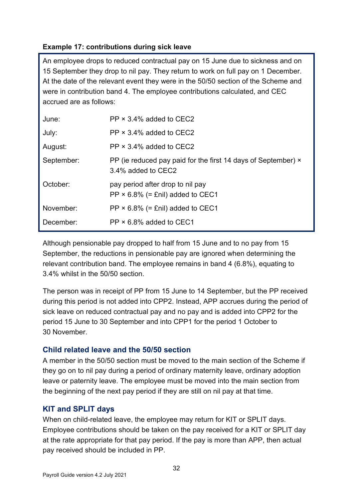# **Example 17: contributions during sick leave**

An employee drops to reduced contractual pay on 15 June due to sickness and on 15 September they drop to nil pay. They return to work on full pay on 1 December. At the date of the relevant event they were in the 50/50 section of the Scheme and were in contribution band 4. The employee contributions calculated, and CEC accrued are as follows:

| June:      | $PP \times 3.4\%$ added to CEC2                                                     |
|------------|-------------------------------------------------------------------------------------|
| July:      | $PP \times 3.4\%$ added to CEC2                                                     |
| August:    | $PP \times 3.4\%$ added to CEC2                                                     |
| September: | PP (ie reduced pay paid for the first 14 days of September) ×<br>3.4% added to CEC2 |
| October:   | pay period after drop to nil pay<br>$PP \times 6.8\%$ (= £nil) added to CEC1        |
| November:  | $PP \times 6.8\%$ (= £nil) added to CEC1                                            |
| December:  | $PP \times 6.8\%$ added to CEC1                                                     |

Although pensionable pay dropped to half from 15 June and to no pay from 15 September, the reductions in pensionable pay are ignored when determining the relevant contribution band. The employee remains in band 4 (6.8%), equating to 3.4% whilst in the 50/50 section.

The person was in receipt of PP from 15 June to 14 September, but the PP received during this period is not added into CPP2. Instead, APP accrues during the period of sick leave on reduced contractual pay and no pay and is added into CPP2 for the period 15 June to 30 September and into CPP1 for the period 1 October to 30 November.

### <span id="page-31-0"></span>**Child related leave and the 50/50 section**

A member in the 50/50 section must be moved to the main section of the Scheme if they go on to nil pay during a period of ordinary maternity leave, ordinary adoption leave or paternity leave. The employee must be moved into the main section from the beginning of the next pay period if they are still on nil pay at that time.

# <span id="page-31-1"></span>**KIT and SPLIT days**

When on child-related leave, the employee may return for KIT or SPLIT days. Employee contributions should be taken on the pay received for a KIT or SPLIT day at the rate appropriate for that pay period. If the pay is more than APP, then actual pay received should be included in PP.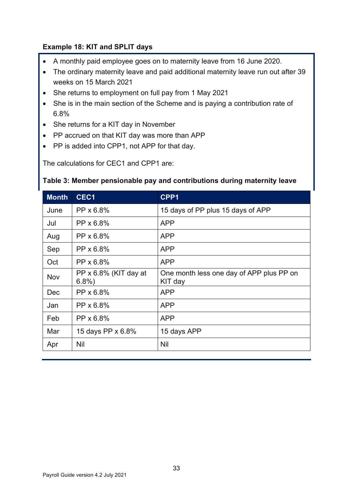#### <span id="page-32-0"></span>**Example 18: KIT and SPLIT days**

- A monthly paid employee goes on to maternity leave from 16 June 2020.
- The ordinary maternity leave and paid additional maternity leave run out after 39 weeks on 15 March 2021
- She returns to employment on full pay from 1 May 2021
- She is in the main section of the Scheme and is paying a contribution rate of 6.8%
- She returns for a KIT day in November
- PP accrued on that KIT day was more than APP
- PP is added into CPP1, not APP for that day.

The calculations for CEC1 and CPP1 are:

#### **Table 3: Member pensionable pay and contributions during maternity leave**

| <b>Month</b> | CEC1                          | CPP1                                                |
|--------------|-------------------------------|-----------------------------------------------------|
| June         | PP x 6.8%                     | 15 days of PP plus 15 days of APP                   |
| Jul          | PP x 6.8%                     | <b>APP</b>                                          |
| Aug          | PP x 6.8%                     | <b>APP</b>                                          |
| Sep          | PP x 6.8%                     | <b>APP</b>                                          |
| Oct          | PP x 6.8%                     | <b>APP</b>                                          |
| Nov          | PP x 6.8% (KIT day at<br>6.8% | One month less one day of APP plus PP on<br>KIT day |
| Dec          | PP x 6.8%                     | <b>APP</b>                                          |
| Jan          | PP x 6.8%                     | <b>APP</b>                                          |
| Feb          | PP x 6.8%                     | <b>APP</b>                                          |
| Mar          | 15 days PP x 6.8%             | 15 days APP                                         |
| Apr          | <b>Nil</b>                    | Nil                                                 |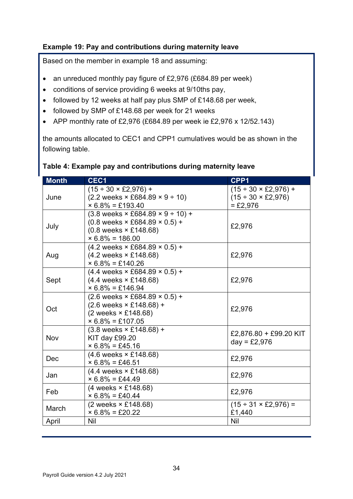### **Example 19: Pay and contributions during maternity leave**

Based on the member in example 18 and assuming:

- an unreduced monthly pay figure of £2,976 (£684.89 per week)
- conditions of service providing 6 weeks at 9/10ths pay,
- followed by 12 weeks at half pay plus SMP of £148.68 per week,
- followed by SMP of £148.68 per week for 21 weeks
- APP monthly rate of £2,976 (£684.89 per week ie £2,976 x 12/52.143)

the amounts allocated to CEC1 and CPP1 cumulatives would be as shown in the following table.

| <b>Month</b> | CEC1                                                                                                                                                                                                 | CPP1                                                                                                   |
|--------------|------------------------------------------------------------------------------------------------------------------------------------------------------------------------------------------------------|--------------------------------------------------------------------------------------------------------|
| June         | $(15 \div 30 \times \text{\pounds}2,976) +$<br>$(2.2 \text{ weeks} \times \text{\pounds}684.89 \times 9 \div 10)$<br>$\times$ 6.8% = £193.40                                                         | $(15 \div 30 \times \text{\pounds}2,976) +$<br>$(15 \div 30 \times \text{\pounds}2,976)$<br>$= £2,976$ |
| July         | $(3.8 \text{ weeks} \times \text{\pounds}684.89 \times 9 \div 10) +$<br>$(0.8 \text{ weeks} \times \text{\pounds}684.89 \times 0.5) +$<br>$(0.8 \text{ weeks} \times £148.68)$<br>$× 6.8\% = 186.00$ | £2,976                                                                                                 |
| Aug          | $(4.2 \text{ weeks} \times \text{\pounds}684.89 \times 0.5) +$<br>$(4.2 \text{ weeks} \times £148.68)$<br>$\times$ 6.8% = £140.26                                                                    | £2,976                                                                                                 |
| Sept         | $(4.4 \text{ weeks} \times £684.89 \times 0.5) +$<br>$(4.4$ weeks $\times$ £148.68)<br>$× 6.8% = £146.94$                                                                                            | £2,976                                                                                                 |
| Oct          | $(2.6 \text{ weeks} \times \text{\pounds}684.89 \times 0.5) +$<br>$(2.6$ weeks $\times$ £148.68) +<br>(2 weeks × £148.68)<br>$\times$ 6.8% = £107.05                                                 | £2,976                                                                                                 |
| Nov          | $(3.8 \text{ weeks} \times \text{\textsterling}148.68) +$<br>KIT day £99.20<br>$× 6.8% = £45.16$                                                                                                     | £2,876.80 + £99.20 KIT<br>$day = £2,976$                                                               |
| Dec          | $(4.6 \text{ weeks} \times £148.68)$<br>$× 6.8% = £46.51$                                                                                                                                            | £2,976                                                                                                 |
| Jan          | $(4.4 \text{ weeks} \times £148.68)$<br>$× 6.8% = £44.49$                                                                                                                                            | £2,976                                                                                                 |
| Feb          | $(4$ weeks $\times$ £148.68)<br>$\times$ 6.8% = £40.44                                                                                                                                               | £2,976                                                                                                 |
| March        | (2 weeks × £148.68)<br>$× 6.8\% = £20.22$                                                                                                                                                            | $(15 \div 31 \times \text{\pounds}2,976) =$<br>£1,440                                                  |
| April        | Nil                                                                                                                                                                                                  | Nil                                                                                                    |

#### **Table 4: Example pay and contributions during maternity leave**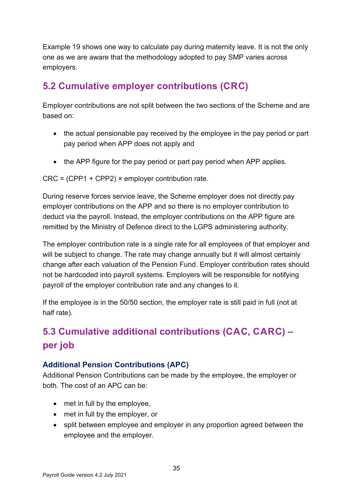Example 19 shows one way to calculate pay during maternity leave. It is not the only one as we are aware that the methodology adopted to pay SMP varies across employers.

# <span id="page-34-0"></span>**5.2 Cumulative employer contributions (CRC)**

Employer contributions are not split between the two sections of the Scheme and are based on:

- the actual pensionable pay received by the employee in the pay period or part pay period when APP does not apply and
- the APP figure for the pay period or part pay period when APP applies.

CRC = (CPP1 + CPP2) × employer contribution rate.

During reserve forces service leave, the Scheme employer does not directly pay employer contributions on the APP and so there is no employer contribution to deduct via the payroll. Instead, the employer contributions on the APP figure are remitted by the Ministry of Defence direct to the LGPS administering authority.

The employer contribution rate is a single rate for all employees of that employer and will be subject to change. The rate may change annually but it will almost certainly change after each valuation of the Pension Fund. Employer contribution rates should not be hardcoded into payroll systems. Employers will be responsible for notifying payroll of the employer contribution rate and any changes to it.

If the employee is in the 50/50 section, the employer rate is still paid in full (not at half rate).

# <span id="page-34-1"></span>**5.3 Cumulative additional contributions (CAC, CARC) – per job**

# <span id="page-34-2"></span>**Additional Pension Contributions (APC)**

Additional Pension Contributions can be made by the employee, the employer or both. The cost of an APC can be:

- met in full by the employee,
- met in full by the employer, or
- split between employee and employer in any proportion agreed between the employee and the employer.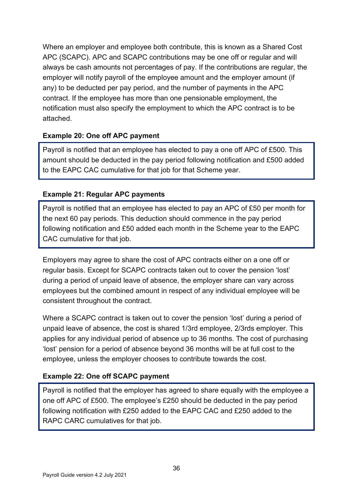Where an employer and employee both contribute, this is known as a Shared Cost APC (SCAPC). APC and SCAPC contributions may be one off or regular and will always be cash amounts not percentages of pay. If the contributions are regular, the employer will notify payroll of the employee amount and the employer amount (if any) to be deducted per pay period, and the number of payments in the APC contract. If the employee has more than one pensionable employment, the notification must also specify the employment to which the APC contract is to be attached.

### **Example 20: One off APC payment**

Payroll is notified that an employee has elected to pay a one off APC of £500. This amount should be deducted in the pay period following notification and £500 added to the EAPC CAC cumulative for that job for that Scheme year.

#### **Example 21: Regular APC payments**

Payroll is notified that an employee has elected to pay an APC of £50 per month for the next 60 pay periods. This deduction should commence in the pay period following notification and £50 added each month in the Scheme year to the EAPC CAC cumulative for that job.

Employers may agree to share the cost of APC contracts either on a one off or regular basis. Except for SCAPC contracts taken out to cover the pension 'lost' during a period of unpaid leave of absence, the employer share can vary across employees but the combined amount in respect of any individual employee will be consistent throughout the contract.

Where a SCAPC contract is taken out to cover the pension 'lost' during a period of unpaid leave of absence, the cost is shared 1/3rd employee, 2/3rds employer. This applies for any individual period of absence up to 36 months. The cost of purchasing 'lost' pension for a period of absence beyond 36 months will be at full cost to the employee, unless the employer chooses to contribute towards the cost.

### **Example 22: One off SCAPC payment**

Payroll is notified that the employer has agreed to share equally with the employee a one off APC of £500. The employee's £250 should be deducted in the pay period following notification with £250 added to the EAPC CAC and £250 added to the RAPC CARC cumulatives for that job.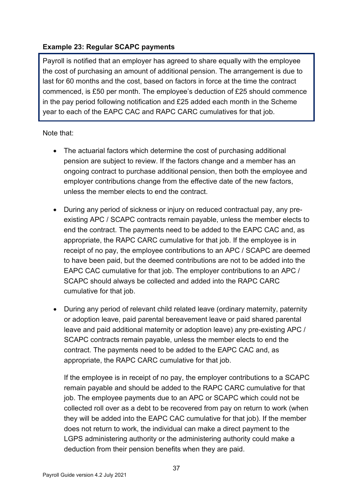### **Example 23: Regular SCAPC payments**

Payroll is notified that an employer has agreed to share equally with the employee the cost of purchasing an amount of additional pension. The arrangement is due to last for 60 months and the cost, based on factors in force at the time the contract commenced, is £50 per month. The employee's deduction of £25 should commence in the pay period following notification and £25 added each month in the Scheme year to each of the EAPC CAC and RAPC CARC cumulatives for that job.

Note that:

- The actuarial factors which determine the cost of purchasing additional pension are subject to review. If the factors change and a member has an ongoing contract to purchase additional pension, then both the employee and employer contributions change from the effective date of the new factors, unless the member elects to end the contract.
- During any period of sickness or injury on reduced contractual pay, any preexisting APC / SCAPC contracts remain payable, unless the member elects to end the contract. The payments need to be added to the EAPC CAC and, as appropriate, the RAPC CARC cumulative for that job. If the employee is in receipt of no pay, the employee contributions to an APC / SCAPC are deemed to have been paid, but the deemed contributions are not to be added into the EAPC CAC cumulative for that job. The employer contributions to an APC / SCAPC should always be collected and added into the RAPC CARC cumulative for that job.
- During any period of relevant child related leave (ordinary maternity, paternity or adoption leave, paid parental bereavement leave or paid shared parental leave and paid additional maternity or adoption leave) any pre-existing APC / SCAPC contracts remain payable, unless the member elects to end the contract. The payments need to be added to the EAPC CAC and, as appropriate, the RAPC CARC cumulative for that job.

If the employee is in receipt of no pay, the employer contributions to a SCAPC remain payable and should be added to the RAPC CARC cumulative for that job. The employee payments due to an APC or SCAPC which could not be collected roll over as a debt to be recovered from pay on return to work (when they will be added into the EAPC CAC cumulative for that job). If the member does not return to work, the individual can make a direct payment to the LGPS administering authority or the administering authority could make a deduction from their pension benefits when they are paid.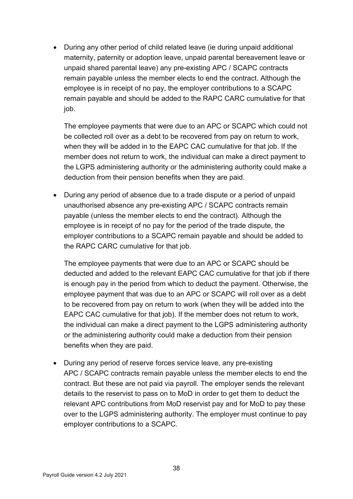• During any other period of child related leave (ie during unpaid additional maternity, paternity or adoption leave, unpaid parental bereavement leave or unpaid shared parental leave) any pre-existing APC / SCAPC contracts remain payable unless the member elects to end the contract. Although the employee is in receipt of no pay, the employer contributions to a SCAPC remain payable and should be added to the RAPC CARC cumulative for that job.

The employee payments that were due to an APC or SCAPC which could not be collected roll over as a debt to be recovered from pay on return to work, when they will be added in to the EAPC CAC cumulative for that job. If the member does not return to work, the individual can make a direct payment to the LGPS administering authority or the administering authority could make a deduction from their pension benefits when they are paid.

• During any period of absence due to a trade dispute or a period of unpaid unauthorised absence any pre-existing APC / SCAPC contracts remain payable (unless the member elects to end the contract). Although the employee is in receipt of no pay for the period of the trade dispute, the employer contributions to a SCAPC remain payable and should be added to the RAPC CARC cumulative for that job.

The employee payments that were due to an APC or SCAPC should be deducted and added to the relevant EAPC CAC cumulative for that job if there is enough pay in the period from which to deduct the payment. Otherwise, the employee payment that was due to an APC or SCAPC will roll over as a debt to be recovered from pay on return to work (when they will be added into the EAPC CAC cumulative for that job). If the member does not return to work, the individual can make a direct payment to the LGPS administering authority or the administering authority could make a deduction from their pension benefits when they are paid.

• During any period of reserve forces service leave, any pre-existing APC / SCAPC contracts remain payable unless the member elects to end the contract. But these are not paid via payroll. The employer sends the relevant details to the reservist to pass on to MoD in order to get them to deduct the relevant APC contributions from MoD reservist pay and for MoD to pay these over to the LGPS administering authority. The employer must continue to pay employer contributions to a SCAPC.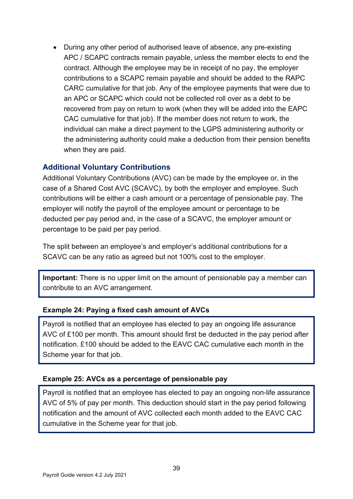• During any other period of authorised leave of absence, any pre-existing APC / SCAPC contracts remain payable, unless the member elects to end the contract. Although the employee may be in receipt of no pay, the employer contributions to a SCAPC remain payable and should be added to the RAPC CARC cumulative for that job. Any of the employee payments that were due to an APC or SCAPC which could not be collected roll over as a debt to be recovered from pay on return to work (when they will be added into the EAPC CAC cumulative for that job). If the member does not return to work, the individual can make a direct payment to the LGPS administering authority or the administering authority could make a deduction from their pension benefits when they are paid.

#### <span id="page-38-0"></span>**Additional Voluntary Contributions**

Additional Voluntary Contributions (AVC) can be made by the employee or, in the case of a Shared Cost AVC (SCAVC), by both the employer and employee. Such contributions will be either a cash amount or a percentage of pensionable pay. The employer will notify the payroll of the employee amount or percentage to be deducted per pay period and, in the case of a SCAVC, the employer amount or percentage to be paid per pay period.

The split between an employee's and employer's additional contributions for a SCAVC can be any ratio as agreed but not 100% cost to the employer.

**Important:** There is no upper limit on the amount of pensionable pay a member can contribute to an AVC arrangement.

#### **Example 24: Paying a fixed cash amount of AVCs**

Payroll is notified that an employee has elected to pay an ongoing life assurance AVC of £100 per month. This amount should first be deducted in the pay period after notification. £100 should be added to the EAVC CAC cumulative each month in the Scheme year for that job.

#### **Example 25: AVCs as a percentage of pensionable pay**

Payroll is notified that an employee has elected to pay an ongoing non-life assurance AVC of 5% of pay per month. This deduction should start in the pay period following notification and the amount of AVC collected each month added to the EAVC CAC cumulative in the Scheme year for that job.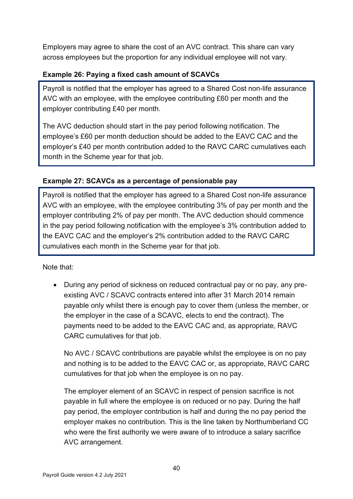Employers may agree to share the cost of an AVC contract. This share can vary across employees but the proportion for any individual employee will not vary.

# **Example 26: Paying a fixed cash amount of SCAVCs**

Payroll is notified that the employer has agreed to a Shared Cost non-life assurance AVC with an employee, with the employee contributing £60 per month and the employer contributing £40 per month.

The AVC deduction should start in the pay period following notification. The employee's £60 per month deduction should be added to the EAVC CAC and the employer's £40 per month contribution added to the RAVC CARC cumulatives each month in the Scheme year for that job.

### **Example 27: SCAVCs as a percentage of pensionable pay**

Payroll is notified that the employer has agreed to a Shared Cost non-life assurance AVC with an employee, with the employee contributing 3% of pay per month and the employer contributing 2% of pay per month. The AVC deduction should commence in the pay period following notification with the employee's 3% contribution added to the EAVC CAC and the employer's 2% contribution added to the RAVC CARC cumulatives each month in the Scheme year for that job.

Note that:

• During any period of sickness on reduced contractual pay or no pay, any preexisting AVC / SCAVC contracts entered into after 31 March 2014 remain payable only whilst there is enough pay to cover them (unless the member, or the employer in the case of a SCAVC, elects to end the contract). The payments need to be added to the EAVC CAC and, as appropriate, RAVC CARC cumulatives for that job.

No AVC / SCAVC contributions are payable whilst the employee is on no pay and nothing is to be added to the EAVC CAC or, as appropriate, RAVC CARC cumulatives for that job when the employee is on no pay.

The employer element of an SCAVC in respect of pension sacrifice is not payable in full where the employee is on reduced or no pay. During the half pay period, the employer contribution is half and during the no pay period the employer makes no contribution. This is the line taken by Northumberland CC who were the first authority we were aware of to introduce a salary sacrifice AVC arrangement.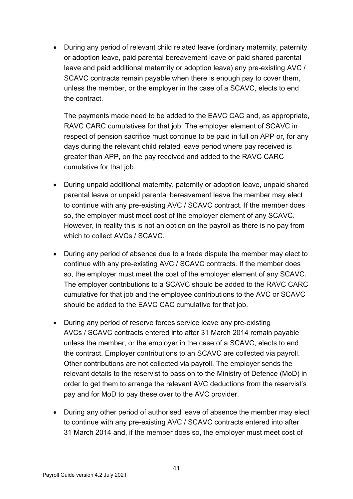• During any period of relevant child related leave (ordinary maternity, paternity or adoption leave, paid parental bereavement leave or paid shared parental leave and paid additional maternity or adoption leave) any pre-existing AVC / SCAVC contracts remain payable when there is enough pay to cover them, unless the member, or the employer in the case of a SCAVC, elects to end the contract.

The payments made need to be added to the EAVC CAC and, as appropriate, RAVC CARC cumulatives for that job. The employer element of SCAVC in respect of pension sacrifice must continue to be paid in full on APP or, for any days during the relevant child related leave period where pay received is greater than APP, on the pay received and added to the RAVC CARC cumulative for that job.

- During unpaid additional maternity, paternity or adoption leave, unpaid shared parental leave or unpaid parental bereavement leave the member may elect to continue with any pre-existing AVC / SCAVC contract. If the member does so, the employer must meet cost of the employer element of any SCAVC. However, in reality this is not an option on the payroll as there is no pay from which to collect AVCs / SCAVC.
- During any period of absence due to a trade dispute the member may elect to continue with any pre-existing AVC / SCAVC contracts. If the member does so, the employer must meet the cost of the employer element of any SCAVC. The employer contributions to a SCAVC should be added to the RAVC CARC cumulative for that job and the employee contributions to the AVC or SCAVC should be added to the EAVC CAC cumulative for that job.
- During any period of reserve forces service leave any pre-existing AVCs / SCAVC contracts entered into after 31 March 2014 remain payable unless the member, or the employer in the case of a SCAVC, elects to end the contract. Employer contributions to an SCAVC are collected via payroll. Other contributions are not collected via payroll. The employer sends the relevant details to the reservist to pass on to the Ministry of Defence (MoD) in order to get them to arrange the relevant AVC deductions from the reservist's pay and for MoD to pay these over to the AVC provider.
- During any other period of authorised leave of absence the member may elect to continue with any pre-existing AVC / SCAVC contracts entered into after 31 March 2014 and, if the member does so, the employer must meet cost of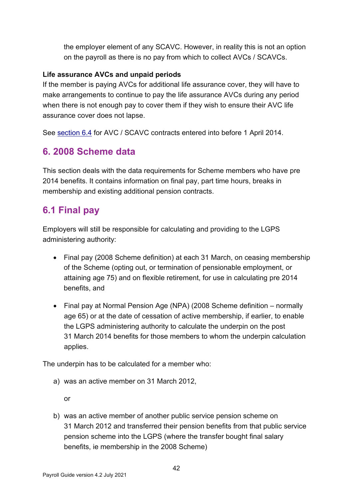the employer element of any SCAVC. However, in reality this is not an option on the payroll as there is no pay from which to collect AVCs / SCAVCs.

#### **Life assurance AVCs and unpaid periods**

If the member is paying AVCs for additional life assurance cover, they will have to make arrangements to continue to pay the life assurance AVCs during any period when there is not enough pay to cover them if they wish to ensure their AVC life assurance cover does not lapse.

See [section 6.4](#page-47-0) for AVC / SCAVC contracts entered into before 1 April 2014.

# <span id="page-41-0"></span>**6. 2008 Scheme data**

This section deals with the data requirements for Scheme members who have pre 2014 benefits. It contains information on final pay, part time hours, breaks in membership and existing additional pension contracts.

# <span id="page-41-1"></span>**6.1 Final pay**

Employers will still be responsible for calculating and providing to the LGPS administering authority:

- Final pay (2008 Scheme definition) at each 31 March, on ceasing membership of the Scheme (opting out, or termination of pensionable employment, or attaining age 75) and on flexible retirement, for use in calculating pre 2014 benefits, and
- Final pay at Normal Pension Age (NPA) (2008 Scheme definition normally age 65) or at the date of cessation of active membership, if earlier, to enable the LGPS administering authority to calculate the underpin on the post 31 March 2014 benefits for those members to whom the underpin calculation applies.

The underpin has to be calculated for a member who:

a) was an active member on 31 March 2012,

or

b) was an active member of another public service pension scheme on 31 March 2012 and transferred their pension benefits from that public service pension scheme into the LGPS (where the transfer bought final salary benefits, ie membership in the 2008 Scheme)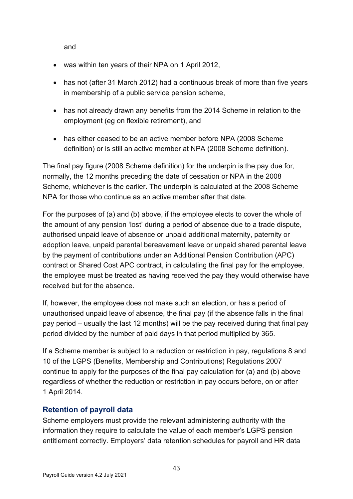and

- was within ten years of their NPA on 1 April 2012,
- has not (after 31 March 2012) had a continuous break of more than five vears in membership of a public service pension scheme,
- has not already drawn any benefits from the 2014 Scheme in relation to the employment (eg on flexible retirement), and
- has either ceased to be an active member before NPA (2008 Scheme definition) or is still an active member at NPA (2008 Scheme definition).

The final pay figure (2008 Scheme definition) for the underpin is the pay due for, normally, the 12 months preceding the date of cessation or NPA in the 2008 Scheme, whichever is the earlier. The underpin is calculated at the 2008 Scheme NPA for those who continue as an active member after that date.

For the purposes of (a) and (b) above, if the employee elects to cover the whole of the amount of any pension 'lost' during a period of absence due to a trade dispute, authorised unpaid leave of absence or unpaid additional maternity, paternity or adoption leave, unpaid parental bereavement leave or unpaid shared parental leave by the payment of contributions under an Additional Pension Contribution (APC) contract or Shared Cost APC contract, in calculating the final pay for the employee, the employee must be treated as having received the pay they would otherwise have received but for the absence.

If, however, the employee does not make such an election, or has a period of unauthorised unpaid leave of absence, the final pay (if the absence falls in the final pay period – usually the last 12 months) will be the pay received during that final pay period divided by the number of paid days in that period multiplied by 365.

If a Scheme member is subject to a reduction or restriction in pay, regulations 8 and 10 of the LGPS (Benefits, Membership and Contributions) Regulations 2007 continue to apply for the purposes of the final pay calculation for (a) and (b) above regardless of whether the reduction or restriction in pay occurs before, on or after 1 April 2014.

# <span id="page-42-0"></span>**Retention of payroll data**

Scheme employers must provide the relevant administering authority with the information they require to calculate the value of each member's LGPS pension entitlement correctly. Employers' data retention schedules for payroll and HR data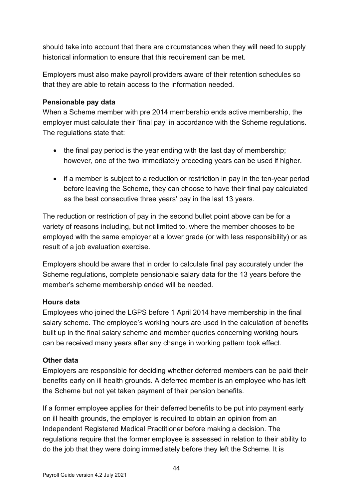should take into account that there are circumstances when they will need to supply historical information to ensure that this requirement can be met.

Employers must also make payroll providers aware of their retention schedules so that they are able to retain access to the information needed.

#### **Pensionable pay data**

When a Scheme member with pre 2014 membership ends active membership, the employer must calculate their 'final pay' in accordance with the Scheme regulations. The regulations state that:

- the final pay period is the year ending with the last day of membership; however, one of the two immediately preceding years can be used if higher.
- if a member is subject to a reduction or restriction in pay in the ten-year period before leaving the Scheme, they can choose to have their final pay calculated as the best consecutive three years' pay in the last 13 years.

The reduction or restriction of pay in the second bullet point above can be for a variety of reasons including, but not limited to, where the member chooses to be employed with the same employer at a lower grade (or with less responsibility) or as result of a job evaluation exercise.

Employers should be aware that in order to calculate final pay accurately under the Scheme regulations, complete pensionable salary data for the 13 years before the member's scheme membership ended will be needed.

#### **Hours data**

Employees who joined the LGPS before 1 April 2014 have membership in the final salary scheme. The employee's working hours are used in the calculation of benefits built up in the final salary scheme and member queries concerning working hours can be received many years after any change in working pattern took effect.

#### **Other data**

Employers are responsible for deciding whether deferred members can be paid their benefits early on ill health grounds. A deferred member is an employee who has left the Scheme but not yet taken payment of their pension benefits.

If a former employee applies for their deferred benefits to be put into payment early on ill health grounds, the employer is required to obtain an opinion from an Independent Registered Medical Practitioner before making a decision. The regulations require that the former employee is assessed in relation to their ability to do the job that they were doing immediately before they left the Scheme. It is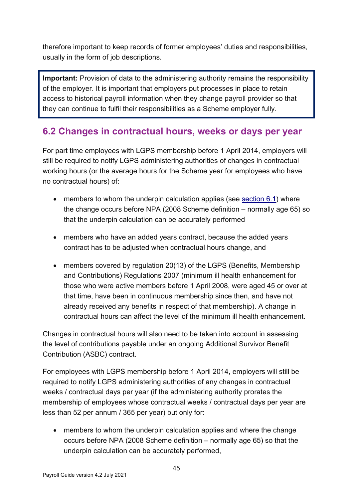therefore important to keep records of former employees' duties and responsibilities, usually in the form of job descriptions.

**Important:** Provision of data to the administering authority remains the responsibility of the employer. It is important that employers put processes in place to retain access to historical payroll information when they change payroll provider so that they can continue to fulfil their responsibilities as a Scheme employer fully.

# <span id="page-44-0"></span>**6.2 Changes in contractual hours, weeks or days per year**

For part time employees with LGPS membership before 1 April 2014, employers will still be required to notify LGPS administering authorities of changes in contractual working hours (or the average hours for the Scheme year for employees who have no contractual hours) of:

- members to whom the underpin calculation applies (see [section 6.1\)](#page-41-1) where the change occurs before NPA (2008 Scheme definition – normally age 65) so that the underpin calculation can be accurately performed
- members who have an added years contract, because the added years contract has to be adjusted when contractual hours change, and
- members covered by regulation 20(13) of the LGPS (Benefits, Membership and Contributions) Regulations 2007 (minimum ill health enhancement for those who were active members before 1 April 2008, were aged 45 or over at that time, have been in continuous membership since then, and have not already received any benefits in respect of that membership). A change in contractual hours can affect the level of the minimum ill health enhancement.

Changes in contractual hours will also need to be taken into account in assessing the level of contributions payable under an ongoing Additional Survivor Benefit Contribution (ASBC) contract.

For employees with LGPS membership before 1 April 2014, employers will still be required to notify LGPS administering authorities of any changes in contractual weeks / contractual days per year (if the administering authority prorates the membership of employees whose contractual weeks / contractual days per year are less than 52 per annum / 365 per year) but only for:

• members to whom the underpin calculation applies and where the change occurs before NPA (2008 Scheme definition – normally age 65) so that the underpin calculation can be accurately performed,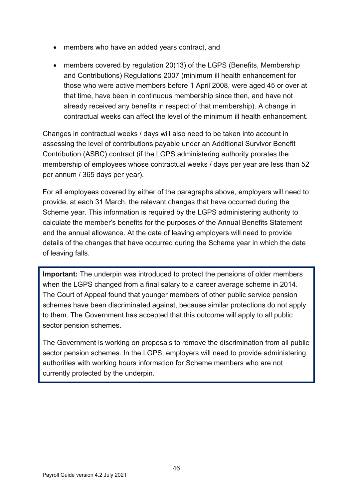- members who have an added years contract, and
- members covered by regulation 20(13) of the LGPS (Benefits, Membership and Contributions) Regulations 2007 (minimum ill health enhancement for those who were active members before 1 April 2008, were aged 45 or over at that time, have been in continuous membership since then, and have not already received any benefits in respect of that membership). A change in contractual weeks can affect the level of the minimum ill health enhancement.

Changes in contractual weeks / days will also need to be taken into account in assessing the level of contributions payable under an Additional Survivor Benefit Contribution (ASBC) contract (if the LGPS administering authority prorates the membership of employees whose contractual weeks / days per year are less than 52 per annum / 365 days per year).

For all employees covered by either of the paragraphs above, employers will need to provide, at each 31 March, the relevant changes that have occurred during the Scheme year. This information is required by the LGPS administering authority to calculate the member's benefits for the purposes of the Annual Benefits Statement and the annual allowance. At the date of leaving employers will need to provide details of the changes that have occurred during the Scheme year in which the date of leaving falls.

**Important:** The underpin was introduced to protect the pensions of older members when the LGPS changed from a final salary to a career average scheme in 2014. The Court of Appeal found that younger members of other public service pension schemes have been discriminated against, because similar protections do not apply to them. The Government has accepted that this outcome will apply to all public sector pension schemes.

The Government is working on proposals to remove the discrimination from all public sector pension schemes. In the LGPS, employers will need to provide administering authorities with working hours information for Scheme members who are not currently protected by the underpin.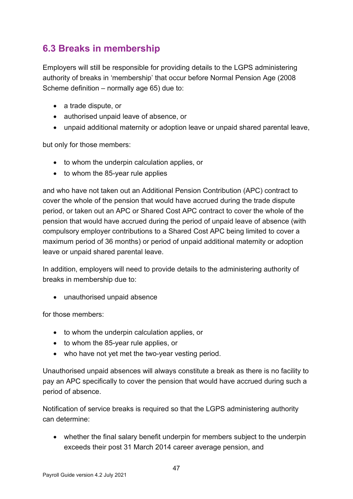# <span id="page-46-0"></span>**6.3 Breaks in membership**

Employers will still be responsible for providing details to the LGPS administering authority of breaks in 'membership' that occur before Normal Pension Age (2008 Scheme definition – normally age 65) due to:

- a trade dispute, or
- authorised unpaid leave of absence, or
- unpaid additional maternity or adoption leave or unpaid shared parental leave,

but only for those members:

- to whom the underpin calculation applies, or
- to whom the 85-year rule applies

and who have not taken out an Additional Pension Contribution (APC) contract to cover the whole of the pension that would have accrued during the trade dispute period, or taken out an APC or Shared Cost APC contract to cover the whole of the pension that would have accrued during the period of unpaid leave of absence (with compulsory employer contributions to a Shared Cost APC being limited to cover a maximum period of 36 months) or period of unpaid additional maternity or adoption leave or unpaid shared parental leave.

In addition, employers will need to provide details to the administering authority of breaks in membership due to:

• unauthorised unpaid absence

for those members:

- to whom the underpin calculation applies, or
- to whom the 85-year rule applies, or
- who have not yet met the two-year vesting period.

Unauthorised unpaid absences will always constitute a break as there is no facility to pay an APC specifically to cover the pension that would have accrued during such a period of absence.

Notification of service breaks is required so that the LGPS administering authority can determine:

• whether the final salary benefit underpin for members subject to the underpin exceeds their post 31 March 2014 career average pension, and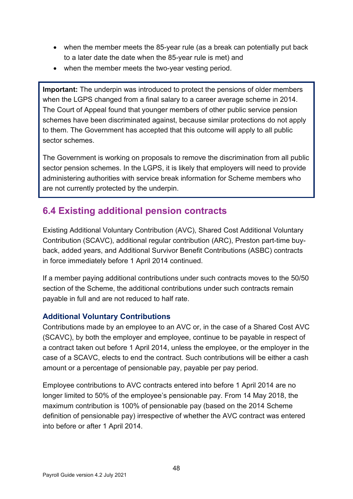- when the member meets the 85-year rule (as a break can potentially put back to a later date the date when the 85-year rule is met) and
- when the member meets the two-vear vesting period.

**Important:** The underpin was introduced to protect the pensions of older members when the LGPS changed from a final salary to a career average scheme in 2014. The Court of Appeal found that younger members of other public service pension schemes have been discriminated against, because similar protections do not apply to them. The Government has accepted that this outcome will apply to all public sector schemes.

The Government is working on proposals to remove the discrimination from all public sector pension schemes. In the LGPS, it is likely that employers will need to provide administering authorities with service break information for Scheme members who are not currently protected by the underpin.

# <span id="page-47-0"></span>**6.4 Existing additional pension contracts**

Existing Additional Voluntary Contribution (AVC), Shared Cost Additional Voluntary Contribution (SCAVC), additional regular contribution (ARC), Preston part-time buyback, added years, and Additional Survivor Benefit Contributions (ASBC) contracts in force immediately before 1 April 2014 continued.

If a member paying additional contributions under such contracts moves to the 50/50 section of the Scheme, the additional contributions under such contracts remain payable in full and are not reduced to half rate.

### <span id="page-47-1"></span>**Additional Voluntary Contributions**

Contributions made by an employee to an AVC or, in the case of a Shared Cost AVC (SCAVC), by both the employer and employee, continue to be payable in respect of a contract taken out before 1 April 2014, unless the employee, or the employer in the case of a SCAVC, elects to end the contract. Such contributions will be either a cash amount or a percentage of pensionable pay, payable per pay period.

Employee contributions to AVC contracts entered into before 1 April 2014 are no longer limited to 50% of the employee's pensionable pay. From 14 May 2018, the maximum contribution is 100% of pensionable pay (based on the 2014 Scheme definition of pensionable pay) irrespective of whether the AVC contract was entered into before or after 1 April 2014.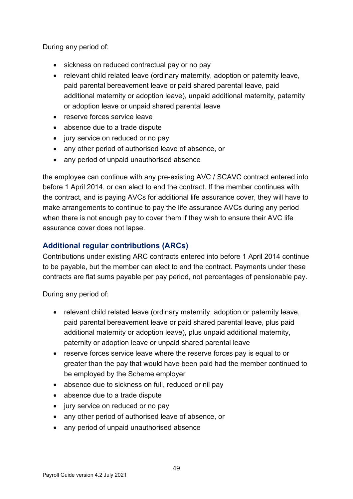During any period of:

- sickness on reduced contractual pay or no pay
- relevant child related leave (ordinary maternity, adoption or paternity leave, paid parental bereavement leave or paid shared parental leave, paid additional maternity or adoption leave), unpaid additional maternity, paternity or adoption leave or unpaid shared parental leave
- reserve forces service leave
- absence due to a trade dispute
- jury service on reduced or no pay
- any other period of authorised leave of absence, or
- any period of unpaid unauthorised absence

the employee can continue with any pre-existing AVC / SCAVC contract entered into before 1 April 2014, or can elect to end the contract. If the member continues with the contract, and is paying AVCs for additional life assurance cover, they will have to make arrangements to continue to pay the life assurance AVCs during any period when there is not enough pay to cover them if they wish to ensure their AVC life assurance cover does not lapse.

### <span id="page-48-0"></span>**Additional regular contributions (ARCs)**

Contributions under existing ARC contracts entered into before 1 April 2014 continue to be payable, but the member can elect to end the contract. Payments under these contracts are flat sums payable per pay period, not percentages of pensionable pay.

During any period of:

- relevant child related leave (ordinary maternity, adoption or paternity leave, paid parental bereavement leave or paid shared parental leave, plus paid additional maternity or adoption leave), plus unpaid additional maternity, paternity or adoption leave or unpaid shared parental leave
- reserve forces service leave where the reserve forces pay is equal to or greater than the pay that would have been paid had the member continued to be employed by the Scheme employer
- absence due to sickness on full, reduced or nil pay
- absence due to a trade dispute
- jury service on reduced or no pay
- any other period of authorised leave of absence, or
- any period of unpaid unauthorised absence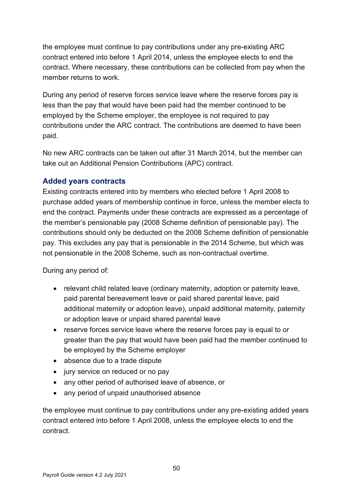the employee must continue to pay contributions under any pre-existing ARC contract entered into before 1 April 2014, unless the employee elects to end the contract. Where necessary, these contributions can be collected from pay when the member returns to work.

During any period of reserve forces service leave where the reserve forces pay is less than the pay that would have been paid had the member continued to be employed by the Scheme employer, the employee is not required to pay contributions under the ARC contract. The contributions are deemed to have been paid.

No new ARC contracts can be taken out after 31 March 2014, but the member can take out an Additional Pension Contributions (APC) contract.

### <span id="page-49-0"></span>**Added years contracts**

Existing contracts entered into by members who elected before 1 April 2008 to purchase added years of membership continue in force, unless the member elects to end the contract. Payments under these contracts are expressed as a percentage of the member's pensionable pay (2008 Scheme definition of pensionable pay). The contributions should only be deducted on the 2008 Scheme definition of pensionable pay. This excludes any pay that is pensionable in the 2014 Scheme, but which was not pensionable in the 2008 Scheme, such as non-contractual overtime.

During any period of:

- relevant child related leave (ordinary maternity, adoption or paternity leave, paid parental bereavement leave or paid shared parental leave, paid additional maternity or adoption leave), unpaid additional maternity, paternity or adoption leave or unpaid shared parental leave
- reserve forces service leave where the reserve forces pay is equal to or greater than the pay that would have been paid had the member continued to be employed by the Scheme employer
- absence due to a trade dispute
- jury service on reduced or no pay
- any other period of authorised leave of absence, or
- any period of unpaid unauthorised absence

the employee must continue to pay contributions under any pre-existing added years contract entered into before 1 April 2008, unless the employee elects to end the contract.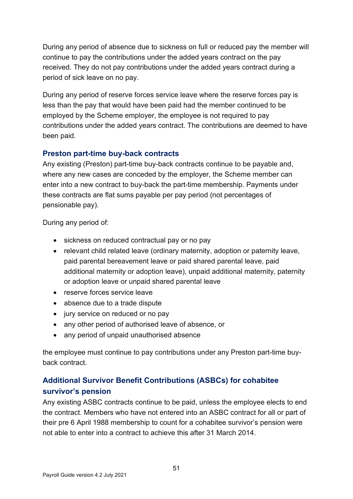During any period of absence due to sickness on full or reduced pay the member will continue to pay the contributions under the added years contract on the pay received. They do not pay contributions under the added years contract during a period of sick leave on no pay.

During any period of reserve forces service leave where the reserve forces pay is less than the pay that would have been paid had the member continued to be employed by the Scheme employer, the employee is not required to pay contributions under the added years contract. The contributions are deemed to have been paid.

# <span id="page-50-0"></span>**Preston part-time buy-back contracts**

Any existing (Preston) part-time buy-back contracts continue to be payable and, where any new cases are conceded by the employer, the Scheme member can enter into a new contract to buy-back the part-time membership. Payments under these contracts are flat sums payable per pay period (not percentages of pensionable pay).

During any period of:

- sickness on reduced contractual pay or no pay
- relevant child related leave (ordinary maternity, adoption or paternity leave, paid parental bereavement leave or paid shared parental leave, paid additional maternity or adoption leave), unpaid additional maternity, paternity or adoption leave or unpaid shared parental leave
- reserve forces service leave
- absence due to a trade dispute
- jury service on reduced or no pay
- any other period of authorised leave of absence, or
- any period of unpaid unauthorised absence

the employee must continue to pay contributions under any Preston part-time buyback contract.

# <span id="page-50-1"></span>**Additional Survivor Benefit Contributions (ASBCs) for cohabitee survivor's pension**

Any existing ASBC contracts continue to be paid, unless the employee elects to end the contract. Members who have not entered into an ASBC contract for all or part of their pre 6 April 1988 membership to count for a cohabitee survivor's pension were not able to enter into a contract to achieve this after 31 March 2014.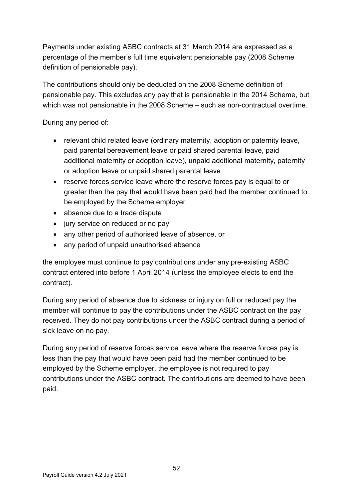Payments under existing ASBC contracts at 31 March 2014 are expressed as a percentage of the member's full time equivalent pensionable pay (2008 Scheme definition of pensionable pay).

The contributions should only be deducted on the 2008 Scheme definition of pensionable pay. This excludes any pay that is pensionable in the 2014 Scheme, but which was not pensionable in the 2008 Scheme – such as non-contractual overtime.

During any period of:

- relevant child related leave (ordinary maternity, adoption or paternity leave, paid parental bereavement leave or paid shared parental leave, paid additional maternity or adoption leave), unpaid additional maternity, paternity or adoption leave or unpaid shared parental leave
- reserve forces service leave where the reserve forces pay is equal to or greater than the pay that would have been paid had the member continued to be employed by the Scheme employer
- absence due to a trade dispute
- jury service on reduced or no pay
- any other period of authorised leave of absence, or
- any period of unpaid unauthorised absence

the employee must continue to pay contributions under any pre-existing ASBC contract entered into before 1 April 2014 (unless the employee elects to end the contract).

During any period of absence due to sickness or injury on full or reduced pay the member will continue to pay the contributions under the ASBC contract on the pay received. They do not pay contributions under the ASBC contract during a period of sick leave on no pay.

During any period of reserve forces service leave where the reserve forces pay is less than the pay that would have been paid had the member continued to be employed by the Scheme employer, the employee is not required to pay contributions under the ASBC contract. The contributions are deemed to have been paid.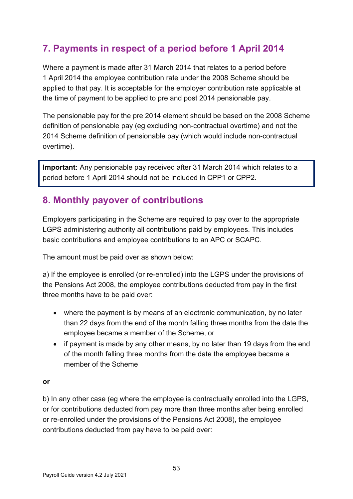# <span id="page-52-0"></span>**7. Payments in respect of a period before 1 April 2014**

Where a payment is made after 31 March 2014 that relates to a period before 1 April 2014 the employee contribution rate under the 2008 Scheme should be applied to that pay. It is acceptable for the employer contribution rate applicable at the time of payment to be applied to pre and post 2014 pensionable pay.

The pensionable pay for the pre 2014 element should be based on the 2008 Scheme definition of pensionable pay (eg excluding non-contractual overtime) and not the 2014 Scheme definition of pensionable pay (which would include non-contractual overtime).

**Important:** Any pensionable pay received after 31 March 2014 which relates to a period before 1 April 2014 should not be included in CPP1 or CPP2.

# <span id="page-52-1"></span>**8. Monthly payover of contributions**

Employers participating in the Scheme are required to pay over to the appropriate LGPS administering authority all contributions paid by employees. This includes basic contributions and employee contributions to an APC or SCAPC.

The amount must be paid over as shown below:

a) If the employee is enrolled (or re-enrolled) into the LGPS under the provisions of the Pensions Act 2008, the employee contributions deducted from pay in the first three months have to be paid over:

- where the payment is by means of an electronic communication, by no later than 22 days from the end of the month falling three months from the date the employee became a member of the Scheme, or
- if payment is made by any other means, by no later than 19 days from the end of the month falling three months from the date the employee became a member of the Scheme

#### **or**

b) In any other case (eg where the employee is contractually enrolled into the LGPS, or for contributions deducted from pay more than three months after being enrolled or re-enrolled under the provisions of the Pensions Act 2008), the employee contributions deducted from pay have to be paid over: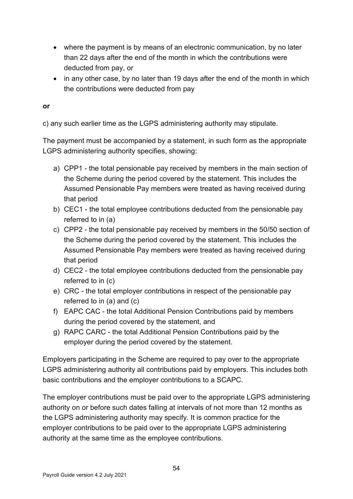- where the payment is by means of an electronic communication, by no later than 22 days after the end of the month in which the contributions were deducted from pay, or
- in any other case, by no later than 19 days after the end of the month in which the contributions were deducted from pay

#### **or**

c) any such earlier time as the LGPS administering authority may stipulate.

The payment must be accompanied by a statement, in such form as the appropriate LGPS administering authority specifies, showing:

- a) CPP1 the total pensionable pay received by members in the main section of the Scheme during the period covered by the statement. This includes the Assumed Pensionable Pay members were treated as having received during that period
- b) CEC1 the total employee contributions deducted from the pensionable pay referred to in (a)
- c) CPP2 the total pensionable pay received by members in the 50/50 section of the Scheme during the period covered by the statement. This includes the Assumed Pensionable Pay members were treated as having received during that period
- d) CEC2 the total employee contributions deducted from the pensionable pay referred to in (c)
- e) CRC the total employer contributions in respect of the pensionable pay referred to in (a) and (c)
- f) EAPC CAC the total Additional Pension Contributions paid by members during the period covered by the statement, and
- g) RAPC CARC the total Additional Pension Contributions paid by the employer during the period covered by the statement.

Employers participating in the Scheme are required to pay over to the appropriate LGPS administering authority all contributions paid by employers. This includes both basic contributions and the employer contributions to a SCAPC.

The employer contributions must be paid over to the appropriate LGPS administering authority on or before such dates falling at intervals of not more than 12 months as the LGPS administering authority may specify. It is common practice for the employer contributions to be paid over to the appropriate LGPS administering authority at the same time as the employee contributions.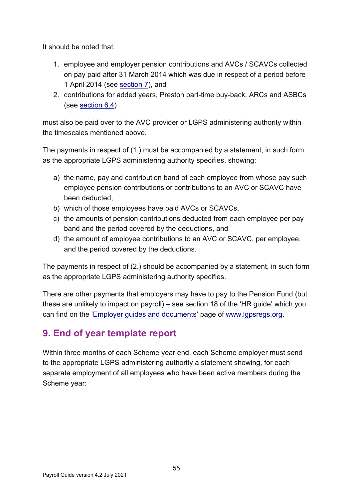It should be noted that:

- 1. employee and employer pension contributions and AVCs / SCAVCs collected on pay paid after 31 March 2014 which was due in respect of a period before 1 April 2014 (see [section 7\)](#page-52-0), and
- 2. contributions for added years, Preston part-time buy-back, ARCs and ASBCs (see [section 6.4\)](#page-47-0)

must also be paid over to the AVC provider or LGPS administering authority within the timescales mentioned above.

The payments in respect of (1.) must be accompanied by a statement, in such form as the appropriate LGPS administering authority specifies, showing:

- a) the name, pay and contribution band of each employee from whose pay such employee pension contributions or contributions to an AVC or SCAVC have been deducted,
- b) which of those employees have paid AVCs or SCAVCs,
- c) the amounts of pension contributions deducted from each employee per pay band and the period covered by the deductions, and
- d) the amount of employee contributions to an AVC or SCAVC, per employee, and the period covered by the deductions.

The payments in respect of (2.) should be accompanied by a statement, in such form as the appropriate LGPS administering authority specifies.

There are other payments that employers may have to pay to the Pension Fund (but these are unlikely to impact on payroll) – see section 18 of the 'HR guide' which you can find on the ['Employer guides and documents'](https://www.lgpsregs.org/employer-resources/guidesetc.php) page of [www.lgpsregs.org.](http://www.lgpsregs.org/)

# <span id="page-54-0"></span>**9. End of year template report**

Within three months of each Scheme year end, each Scheme employer must send to the appropriate LGPS administering authority a statement showing, for each separate employment of all employees who have been active members during the Scheme year: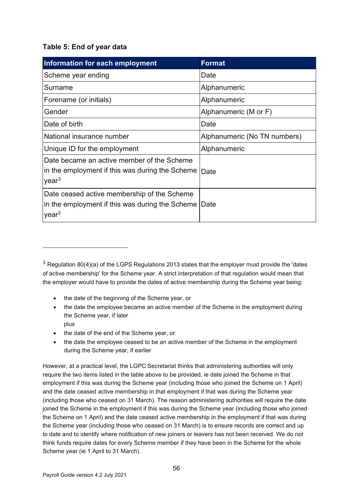#### **Table 5: End of year data**

| Information for each employment                                                                                     | <b>Format</b>                |
|---------------------------------------------------------------------------------------------------------------------|------------------------------|
| Scheme year ending                                                                                                  | Date                         |
| Surname                                                                                                             | Alphanumeric                 |
| Forename (or initials)                                                                                              | Alphanumeric                 |
| Gender                                                                                                              | Alphanumeric (M or F)        |
| Date of birth                                                                                                       | Date                         |
| National insurance number                                                                                           | Alphanumeric (No TN numbers) |
| Unique ID for the employment                                                                                        | Alphanumeric                 |
| Date became an active member of the Scheme<br>in the employment if this was during the Scheme<br>year <sup>3</sup>  | Date                         |
| Date ceased active membership of the Scheme<br>in the employment if this was during the Scheme<br>year <sup>3</sup> | Date                         |

- the date of the beginning of the Scheme year, or
- the date the employee became an active member of the Scheme in the employment during the Scheme year, if later plus
- the date of the end of the Scheme year, or
- the date the employee ceased to be an active member of the Scheme in the employment during the Scheme year, if earlier

However, at a practical level, the LGPC Secretariat thinks that administering authorities will only require the two items listed in the table above to be provided, ie date joined the Scheme in that employment if this was during the Scheme year (including those who joined the Scheme on 1 April) and the date ceased active membership in that employment if that was during the Scheme year (including those who ceased on 31 March). The reason administering authorities will require the date joined the Scheme in the employment if this was during the Scheme year (including those who joined the Scheme on 1 April) and the date ceased active membership in the employment if that was during the Scheme year (including those who ceased on 31 March) is to ensure records are correct and up to date and to identify where notification of new joiners or leavers has not been received. We do not think funds require dates for every Scheme member if they have been in the Scheme for the whole Scheme year (ie 1 April to 31 March).

<span id="page-55-0"></span> $3$  Regulation 80(4)(a) of the LGPS Regulations 2013 states that the employer must provide the 'dates of active membership' for the Scheme year. A strict interpretation of that regulation would mean that the employer would have to provide the dates of active membership during the Scheme year being: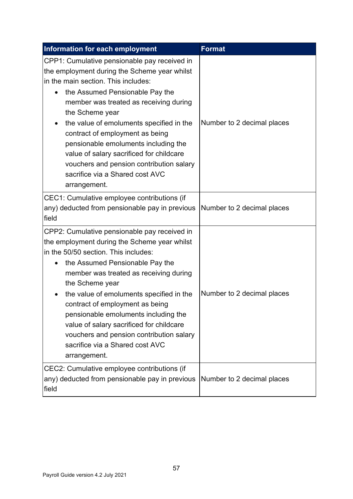| Information for each employment                                                                                                                                                                                                                                                                                                                                                                                                                                                                        | <b>Format</b>              |  |
|--------------------------------------------------------------------------------------------------------------------------------------------------------------------------------------------------------------------------------------------------------------------------------------------------------------------------------------------------------------------------------------------------------------------------------------------------------------------------------------------------------|----------------------------|--|
| CPP1: Cumulative pensionable pay received in<br>the employment during the Scheme year whilst<br>in the main section. This includes:<br>the Assumed Pensionable Pay the<br>member was treated as receiving during<br>the Scheme year<br>the value of emoluments specified in the<br>contract of employment as being<br>pensionable emoluments including the<br>value of salary sacrificed for childcare<br>vouchers and pension contribution salary<br>sacrifice via a Shared cost AVC<br>arrangement.  | Number to 2 decimal places |  |
| CEC1: Cumulative employee contributions (if<br>any) deducted from pensionable pay in previous<br>field                                                                                                                                                                                                                                                                                                                                                                                                 | Number to 2 decimal places |  |
| CPP2: Cumulative pensionable pay received in<br>the employment during the Scheme year whilst<br>in the 50/50 section. This includes:<br>the Assumed Pensionable Pay the<br>member was treated as receiving during<br>the Scheme year<br>the value of emoluments specified in the<br>contract of employment as being<br>pensionable emoluments including the<br>value of salary sacrificed for childcare<br>vouchers and pension contribution salary<br>sacrifice via a Shared cost AVC<br>arrangement. | Number to 2 decimal places |  |
| CEC2: Cumulative employee contributions (if<br>any) deducted from pensionable pay in previous<br>field                                                                                                                                                                                                                                                                                                                                                                                                 | Number to 2 decimal places |  |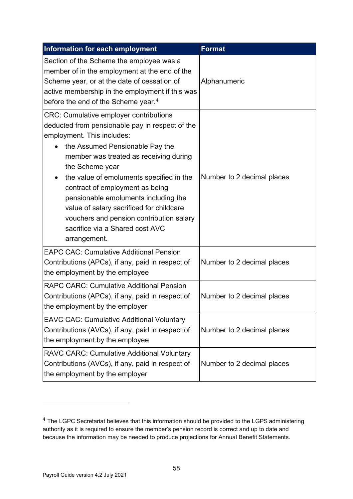| Information for each employment                                                                                                                                                                                                                                                                                                                                                                                                                                                                  | <b>Format</b>              |
|--------------------------------------------------------------------------------------------------------------------------------------------------------------------------------------------------------------------------------------------------------------------------------------------------------------------------------------------------------------------------------------------------------------------------------------------------------------------------------------------------|----------------------------|
| Section of the Scheme the employee was a<br>member of in the employment at the end of the<br>Scheme year, or at the date of cessation of<br>active membership in the employment if this was<br>before the end of the Scheme year. <sup>4</sup>                                                                                                                                                                                                                                                   | Alphanumeric               |
| <b>CRC: Cumulative employer contributions</b><br>deducted from pensionable pay in respect of the<br>employment. This includes:<br>the Assumed Pensionable Pay the<br>member was treated as receiving during<br>the Scheme year<br>the value of emoluments specified in the<br>contract of employment as being<br>pensionable emoluments including the<br>value of salary sacrificed for childcare<br>vouchers and pension contribution salary<br>sacrifice via a Shared cost AVC<br>arrangement. | Number to 2 decimal places |
| <b>EAPC CAC: Cumulative Additional Pension</b><br>Contributions (APCs), if any, paid in respect of<br>the employment by the employee                                                                                                                                                                                                                                                                                                                                                             | Number to 2 decimal places |
| <b>RAPC CARC: Cumulative Additional Pension</b><br>Contributions (APCs), if any, paid in respect of<br>the employment by the employer                                                                                                                                                                                                                                                                                                                                                            | Number to 2 decimal places |
| <b>EAVC CAC: Cumulative Additional Voluntary</b><br>Contributions (AVCs), if any, paid in respect of<br>the employment by the employee                                                                                                                                                                                                                                                                                                                                                           | Number to 2 decimal places |
| <b>RAVC CARC: Cumulative Additional Voluntary</b><br>Contributions (AVCs), if any, paid in respect of<br>the employment by the employer                                                                                                                                                                                                                                                                                                                                                          | Number to 2 decimal places |

<span id="page-57-0"></span><sup>&</sup>lt;sup>4</sup> The LGPC Secretariat believes that this information should be provided to the LGPS administering authority as it is required to ensure the member's pension record is correct and up to date and because the information may be needed to produce projections for Annual Benefit Statements.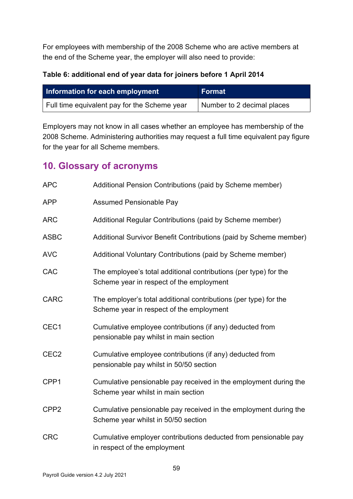For employees with membership of the 2008 Scheme who are active members at the end of the Scheme year, the employer will also need to provide:

### **Table 6: additional end of year data for joiners before 1 April 2014**

| Information for each employment              | Format                     |  |
|----------------------------------------------|----------------------------|--|
| Full time equivalent pay for the Scheme year | Number to 2 decimal places |  |

Employers may not know in all cases whether an employee has membership of the 2008 Scheme. Administering authorities may request a full time equivalent pay figure for the year for all Scheme members.

# <span id="page-58-0"></span>**10. Glossary of acronyms**

| <b>APC</b>       | Additional Pension Contributions (paid by Scheme member)                                                     |
|------------------|--------------------------------------------------------------------------------------------------------------|
| <b>APP</b>       | <b>Assumed Pensionable Pay</b>                                                                               |
| <b>ARC</b>       | Additional Regular Contributions (paid by Scheme member)                                                     |
| <b>ASBC</b>      | Additional Survivor Benefit Contributions (paid by Scheme member)                                            |
| <b>AVC</b>       | Additional Voluntary Contributions (paid by Scheme member)                                                   |
| <b>CAC</b>       | The employee's total additional contributions (per type) for the<br>Scheme year in respect of the employment |
| <b>CARC</b>      | The employer's total additional contributions (per type) for the<br>Scheme year in respect of the employment |
| CEC1             | Cumulative employee contributions (if any) deducted from<br>pensionable pay whilst in main section           |
| CEC <sub>2</sub> | Cumulative employee contributions (if any) deducted from<br>pensionable pay whilst in 50/50 section          |
| CPP <sub>1</sub> | Cumulative pensionable pay received in the employment during the<br>Scheme year whilst in main section       |
| CPP <sub>2</sub> | Cumulative pensionable pay received in the employment during the<br>Scheme year whilst in 50/50 section      |
| <b>CRC</b>       | Cumulative employer contributions deducted from pensionable pay<br>in respect of the employment              |